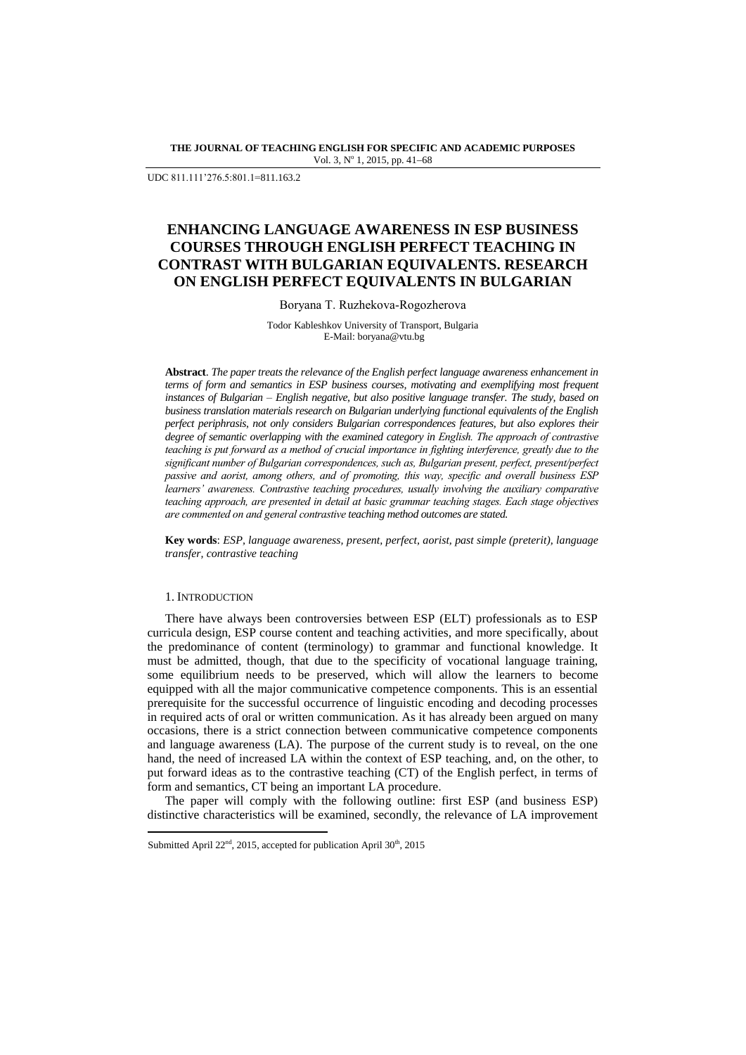**THE JOURNAL OF TEACHING ENGLISH FOR SPECIFIC AND ACADEMIC PURPOSES** Vol. 3, Nº 1, 2015, pp. 41-68

UDC 811.111"276.5:801.1=811.163.2

# **ENHANCING LANGUAGE AWARENESS IN ESP BUSINESS COURSES THROUGH ENGLISH PERFECT TEACHING IN CONTRAST WITH BULGARIAN EQUIVALENTS. RESEARCH ON ENGLISH PERFECT EQUIVALENTS IN BULGARIAN**

Boryana T. Ruzhekova-Rogozherova

Todor Kableshkov University of Transport, Bulgaria E-Mail: boryana@vtu.bg

**Abstract**. *The paper treats the relevance of the English perfect language awareness enhancement in terms of form and semantics in ESP business courses, motivating and exemplifying most frequent instances of Bulgarian – English negative, but also positive language transfer. The study, based on business translation materials research on Bulgarian underlying functional equivalents of the English perfect periphrasis, not only considers Bulgarian correspondences features, but also explores their degree of semantic overlapping with the examined category in English. The approach of contrastive teaching is put forward as a method of crucial importance in fighting interference, greatly due to the significant number of Bulgarian correspondences, such as, Bulgarian present, perfect, present/perfect passive and aorist, among others, and of promoting, this way, specific and overall business ESP learners' awareness. Contrastive teaching procedures, usually involving the auxiliary comparative teaching approach, are presented in detail at basic grammar teaching stages. Each stage objectives are commented on and general contrastive teaching method outcomes are stated.*

**Key words**: *ESP, language awareness, present, perfect, aorist, past simple (preterit), language transfer, contrastive teaching*

### 1. INTRODUCTION

 $\overline{a}$ 

There have always been controversies between ESP (ELT) professionals as to ESP curricula design, ESP course content and teaching activities, and more specifically, about the predominance of content (terminology) to grammar and functional knowledge. It must be admitted, though, that due to the specificity of vocational language training, some equilibrium needs to be preserved, which will allow the learners to become equipped with all the major communicative competence components. This is an essential prerequisite for the successful occurrence of linguistic encoding and decoding processes in required acts of oral or written communication. As it has already been argued on many occasions, there is a strict connection between communicative competence components and language awareness (LA). The purpose of the current study is to reveal, on the one hand, the need of increased LA within the context of ESP teaching, and, on the other, to put forward ideas as to the contrastive teaching (CT) of the English perfect, in terms of form and semantics, CT being an important LA procedure.

The paper will comply with the following outline: first ESP (and business ESP) distinctive characteristics will be examined, secondly, the relevance of LA improvement

Submitted April 22<sup>nd</sup>, 2015, accepted for publication April 30<sup>th</sup>, 2015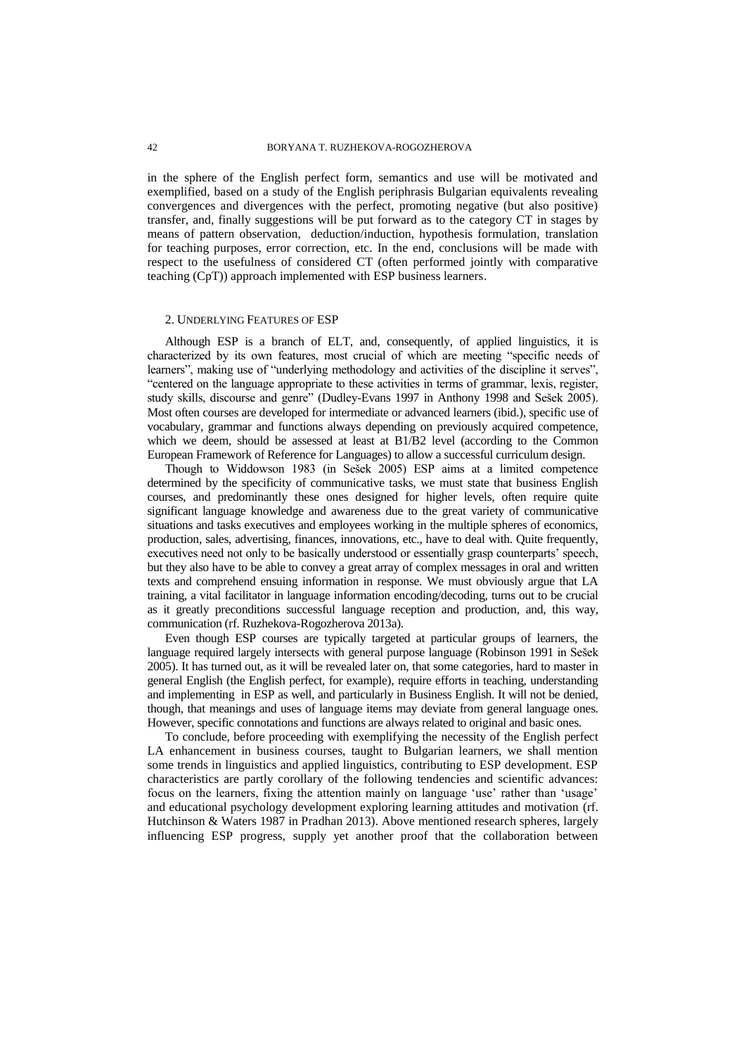in the sphere of the English perfect form, semantics and use will be motivated and exemplified, based on a study of the English periphrasis Bulgarian equivalents revealing convergences and divergences with the perfect, promoting negative (but also positive) transfer, and, finally suggestions will be put forward as to the category CT in stages by means of pattern observation, deduction/induction, hypothesis formulation, translation for teaching purposes, error correction, etc. In the end, conclusions will be made with respect to the usefulness of considered CT (often performed jointly with comparative teaching (CpT)) approach implemented with ESP business learners.

#### 2. UNDERLYING FEATURES OF ESP

Although ESP is a branch of ELT, and, consequently, of applied linguistics, it is characterized by its own features, most crucial of which are meeting "specific needs of learners", making use of "underlying methodology and activities of the discipline it serves", "centered on the language appropriate to these activities in terms of grammar, lexis, register, study skills, discourse and genre" (Dudley-Evans 1997 in Anthony 1998 and Sešek 2005). Most often courses are developed for intermediate or advanced learners (ibid.), specific use of vocabulary, grammar and functions always depending on previously acquired competence, which we deem, should be assessed at least at B1/B2 level (according to the Common European Framework of Reference for Languages) to allow a successful curriculum design.

Though to Widdowson 1983 (in Sešek 2005) ESP aims at a limited competence determined by the specificity of communicative tasks, we must state that business English courses, and predominantly these ones designed for higher levels, often require quite significant language knowledge and awareness due to the great variety of communicative situations and tasks executives and employees working in the multiple spheres of economics, production, sales, advertising, finances, innovations, etc., have to deal with. Quite frequently, executives need not only to be basically understood or essentially grasp counterparts' speech. but they also have to be able to convey a great array of complex messages in oral and written texts and comprehend ensuing information in response. We must obviously argue that LA training, a vital facilitator in language information encoding/decoding, turns out to be crucial as it greatly preconditions successful language reception and production, and, this way, communication (rf. Ruzhekova-Rogozherova 2013a).

Even though ESP courses are typically targeted at particular groups of learners, the language required largely intersects with general purpose language (Robinson 1991 in Sešek 2005). It has turned out, as it will be revealed later on, that some categories, hard to master in general English (the English perfect, for example), require efforts in teaching, understanding and implementing in ESP as well, and particularly in Business English. It will not be denied, though, that meanings and uses of language items may deviate from general language ones. However, specific connotations and functions are always related to original and basic ones.

To conclude, before proceeding with exemplifying the necessity of the English perfect LA enhancement in business courses, taught to Bulgarian learners, we shall mention some trends in linguistics and applied linguistics, contributing to ESP development. ESP characteristics are partly corollary of the following tendencies and scientific advances: focus on the learners, fixing the attention mainly on language 'use' rather than 'usage' and educational psychology development exploring learning attitudes and motivation (rf. Hutchinson & Waters 1987 in Pradhan 2013). Above mentioned research spheres, largely influencing ESP progress, supply yet another proof that the collaboration between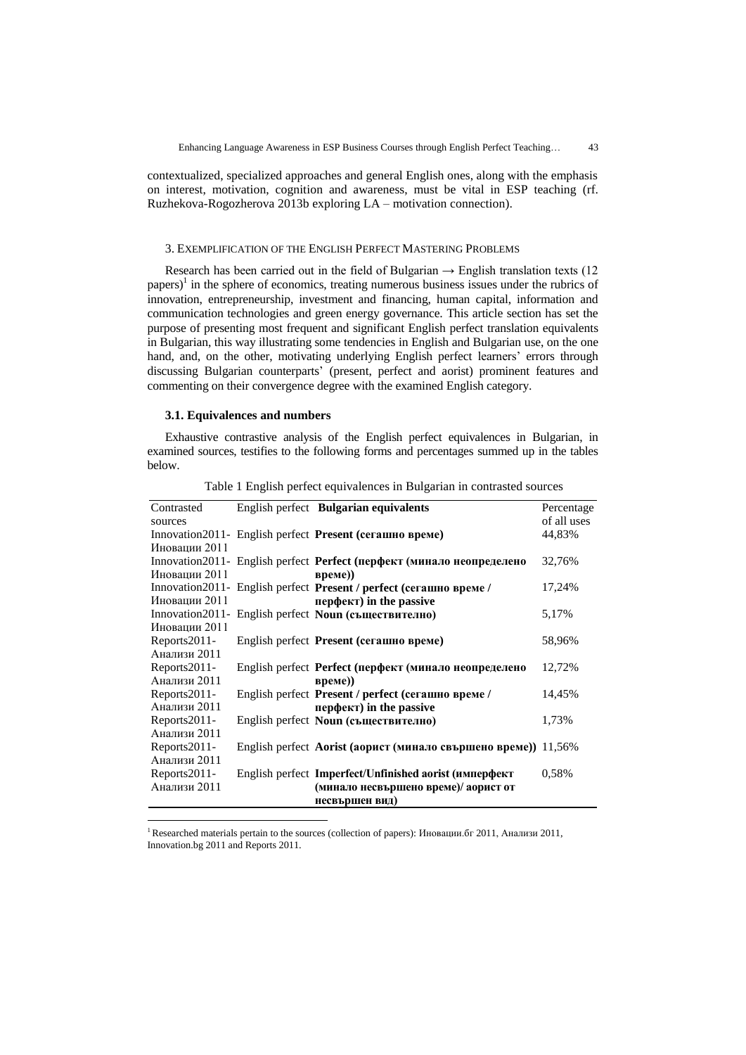contextualized, specialized approaches and general English ones, along with the emphasis on interest, motivation, cognition and awareness, must be vital in ESP teaching (rf. Ruzhekova-Rogozherova 2013b exploring LA – motivation connection).

#### 3. EXEMPLIFICATION OF THE ENGLISH PERFECT MASTERING PROBLEMS

Research has been carried out in the field of Bulgarian  $\rightarrow$  English translation texts (12) papers)<sup>1</sup> in the sphere of economics, treating numerous business issues under the rubrics of innovation, entrepreneurship, investment and financing, human capital, information and communication technologies and green energy governance. This article section has set the purpose of presenting most frequent and significant English perfect translation equivalents in Bulgarian, this way illustrating some tendencies in English and Bulgarian use, on the one hand, and, on the other, motivating underlying English perfect learners' errors through discussing Bulgarian counterparts" (present, perfect and aorist) prominent features and commenting on their convergence degree with the examined English category.

#### **3.1. Equivalences and numbers**

 $\overline{a}$ 

Exhaustive contrastive analysis of the English perfect equivalences in Bulgarian, in examined sources, testifies to the following forms and percentages summed up in the tables below.

| Contrasted       | English perfect Bulgarian equivalents                                   | Percentage            |
|------------------|-------------------------------------------------------------------------|-----------------------|
| sources          | Innovation2011- English perfect <b>Present</b> ( <b>сегашно време</b> ) | of all uses<br>44,83% |
| Иновации 2011    |                                                                         |                       |
|                  | Innovation2011- English perfect Perfect (перфект (минало неопределено   | 32,76%                |
| Иновации 2011    | Bpeme))                                                                 |                       |
|                  | Innovation2011- English perfect Present / perfect (сегашно време /      | 17,24%                |
| Иновации 2011    | <b>nep</b> dency in the passive                                         |                       |
| Innovation 2011- | English perfect Noun (съществително)                                    | 5,17%                 |
| Иновации 2011    |                                                                         |                       |
| Reports2011-     | English perfect Present (сегашно време)                                 | 58,96%                |
| Анализи 2011     |                                                                         |                       |
| Reports2011-     | English perfect Perfect (перфект (минало неопределено                   | 12,72%                |
| Анализи 2011     | Bpeme))                                                                 |                       |
| Reports2011-     | English perfect Present / perfect (сегашно време /                      | 14,45%                |
| Анализи 2011     | <b>nep</b> dentifier in the passive                                     |                       |
| Reports2011-     | English perfect Noun (съществително)                                    | 1,73%                 |
| Анализи 2011     |                                                                         |                       |
| Reports2011-     | English perfect Aorist (аорист (минало свършено време)) 11,56%          |                       |
| Анализи 2011     |                                                                         |                       |
| Reports2011-     | English perfect Imperfect/Unfinished aorist (имперфект                  | 0.58%                 |
| Анализи 2011     | (минало несвършено време)/ аорист от                                    |                       |
|                  | несвършен вид)                                                          |                       |

Table 1 English perfect equivalences in Bulgarian in contrasted sources

<sup>1</sup>Researched materials pertain to the sources (collection of papers): Иновации.бг 2011, Анализи 2011, Innovation.bg 2011 and Reports 2011.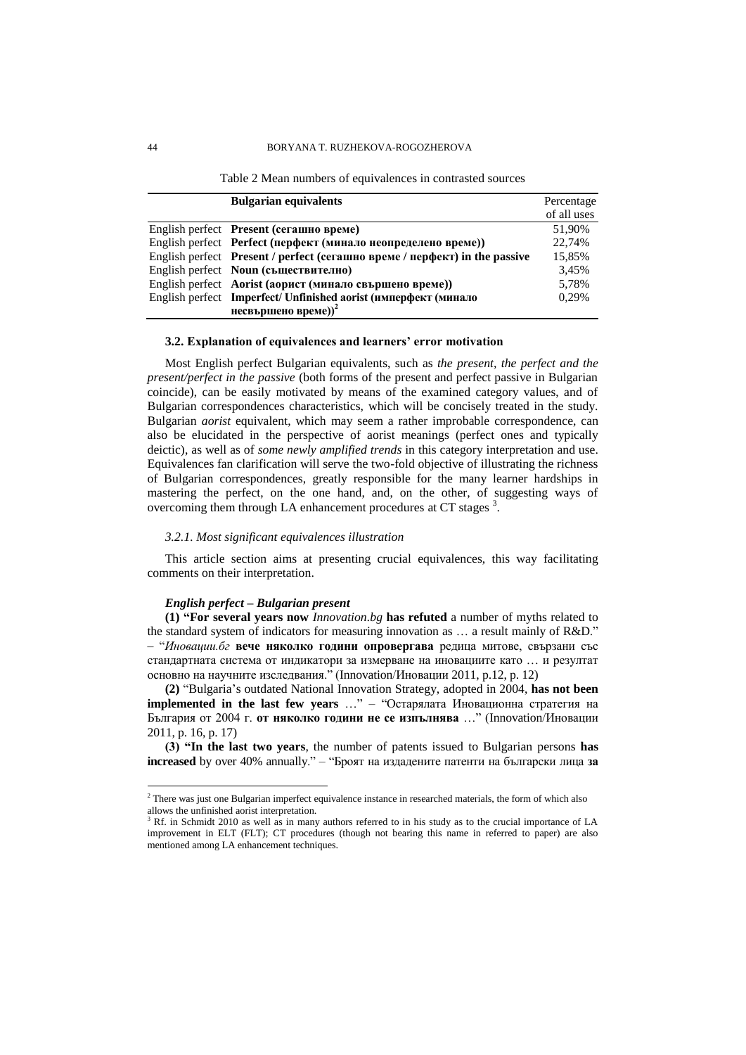#### 44 BORYANA T. RUZHEKOVA-ROGOZHEROVA

| <b>Bulgarian equivalents</b>                                               | Percentage  |
|----------------------------------------------------------------------------|-------------|
|                                                                            | of all uses |
| English perfect Present (сегашно време)                                    | 51.90%      |
| English perfect Perfect (перфект (минало неопределено време))              | 22.74%      |
| English perfect Present / perfect (сегашно време / перфект) in the passive | 15.85%      |
| English perfect Noun (съществително)                                       | 3.45%       |
| English perfect Aorist (аорист (минало свършено време))                    | 5,78%       |
| English perfect Imperfect/ Unfinished aorist (имперфект (минало            | 0.29%       |
| несвършено време)) <sup>2</sup>                                            |             |

#### **3.2. Explanation of equivalences and learners' error motivation**

Most English perfect Bulgarian equivalents, such as *the present, the perfect and the present/perfect in the passive* (both forms of the present and perfect passive in Bulgarian coincide), can be easily motivated by means of the examined category values, and of Bulgarian correspondences characteristics, which will be concisely treated in the study. Bulgarian *aorist* equivalent, which may seem a rather improbable correspondence, can also be elucidated in the perspective of aorist meanings (perfect ones and typically deictic), as well as of *some newly amplified trends* in this category interpretation and use. Equivalences fan clarification will serve the two-fold objective of illustrating the richness of Bulgarian correspondences, greatly responsible for the many learner hardships in mastering the perfect, on the one hand, and, on the other, of suggesting ways of overcoming them through LA enhancement procedures at CT stages<sup>3</sup>.

#### *3.2.1. Most significant equivalences illustration*

This article section aims at presenting crucial equivalences, this way facilitating comments on their interpretation.

#### *English perfect – Bulgarian present*

**(1) "For several years now** *Innovation.bg* **has refuted** a number of myths related to the standard system of indicators for measuring innovation as … a result mainly of R&D." – "*Иновации.бг* **вече няколко години опровергава** редица митове, свързани със стандартната система от индикатори за измерване на иновациите като … и резултат основно на научните изследвания." (Innovation/Иновации 2011, p.12, p. 12)

**(2)** "Bulgaria"s outdated National Innovation Strategy, adopted in 2004, **has not been implemented in the last few years** …" – "Остарялата Иновационна стратегия на България от 2004 г. **от няколко години не се изпълнява** …" (Innovation/Иновации 2011, p. 16, p. 17)

**(3) "In the last two years**, the number of patents issued to Bulgarian persons **has increased** by over 40% annually." – "Броят на издадените патенти на български лица **за** 

<sup>&</sup>lt;sup>2</sup> There was just one Bulgarian imperfect equivalence instance in researched materials, the form of which also allows the unfinished aorist interpretation.

<sup>&</sup>lt;sup>3</sup> Rf. in Schmidt 2010 as well as in many authors referred to in his study as to the crucial importance of LA improvement in ELT (FLT); CT procedures (though not bearing this name in referred to paper) are also mentioned among LA enhancement techniques.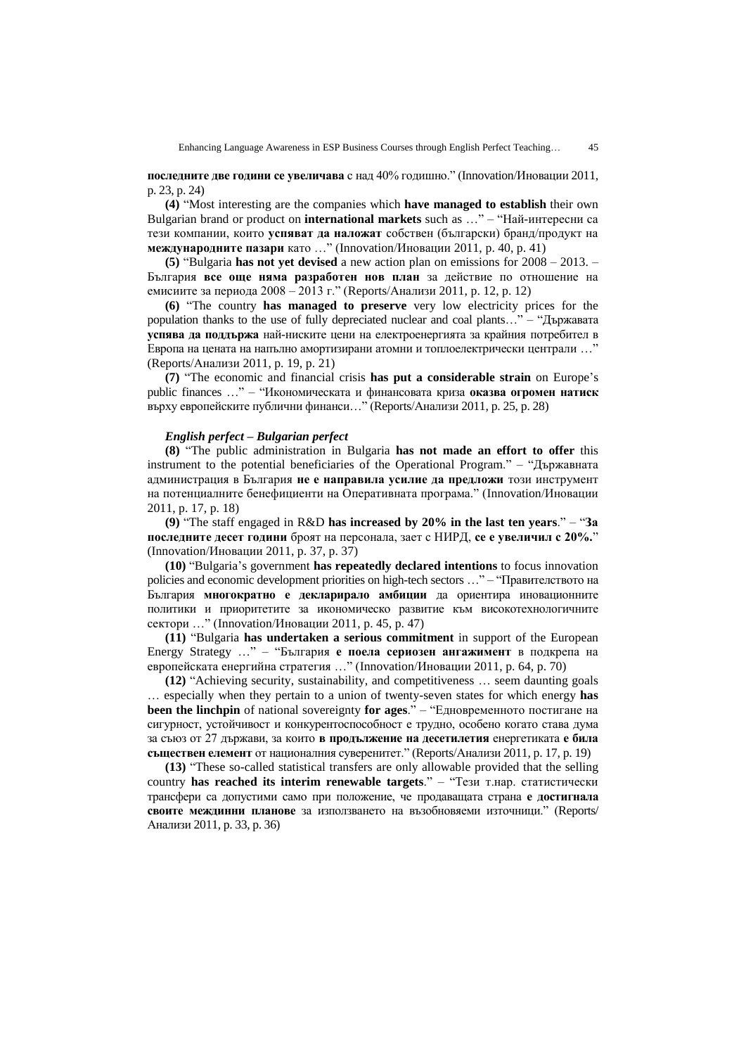**последните две години се увеличава** с над 40% годишно." (Innovation/Иновации 2011, p. 23, p. 24)

**(4)** "Most interesting are the companies which **have managed to establish** their own Bulgarian brand or product on **international markets** such as …" – "Най-интересни са тези компании, които **успяват да наложат** собствен (български) бранд/продукт на **международните пазари** като …" (Innovation/Иновации 2011, p. 40, p. 41)

**(5)** "Bulgaria **has not yet devised** a new action plan on emissions for 2008 – 2013. – България **все още няма разработен нов план** за действие по отношение на емисиите за периода 2008 – 2013 г." (Reports/Анализи 2011, p. 12, p. 12)

**(6)** "The country **has managed to preserve** very low electricity prices for the population thanks to the use of fully depreciated nuclear and coal plants…" – "Държавата **успява да поддържа** най-ниските цени на електроенергията за крайния потребител в Европа на цената на напълно амортизирани атомни и топлоелектрически централи …" (Reports/Анализи 2011, p. 19, p. 21)

**(7)** "The economic and financial crisis **has put a considerable strain** on Europe"s public finances …" – "Икономическата и финансовата криза **оказва огромен натиск** върху европейските публични финанси…" (Reports/Анализи 2011, p. 25, p. 28)

#### *English perfect – Bulgarian perfect*

**(8)** "The public administration in Bulgaria **has not made an effort to offer** this instrument to the potential beneficiaries of the Operational Program." – "Държавната администрация в България **не е направила усилие да предложи** този инструмент на потенциалните бенефициенти на Оперативната програма." (Innovation/Иновации 2011, p. 17, p. 18)

**(9)** "The staff engaged in R&D **has increased by 20% in the last ten years**." – "**За последните десет години** броят на персонала, зает с НИРД, **се е увеличил с 20%.**" (Innovation/Иновации 2011, p. 37, p. 37)

**(10)** "Bulgaria"s government **has repeatedly declared intentions** to focus innovation policies and economic development priorities on high-tech sectors …" – "Правителството на България **многократно е декларирало амбиции** да ориентира иновационните политики и приоритетите за икономическо развитие към високотехнологичните сектори …" (Innovation/Иновации 2011, p. 45, p. 47)

**(11)** "Bulgaria **has undertaken a serious commitment** in support of the European Energy Strategy …" – "България **е поела сериозен ангажимент** в подкрепа на европейската енергийна стратегия …" (Innovation/Иновации 2011, p. 64, p. 70)

**(12)** "Achieving security, sustainability, and competitiveness … seem daunting goals … especially when they pertain to a union of twenty-seven states for which energy **has been the linchpin** of national sovereignty **for ages**." – "Едновременното постигане на сигурност, устойчивост и конкурентоспособност е трудно, особено когато става дума за съюз от 27 държави, за които **в продължение на десетилетия** енергетиката **е била съществен елемент** от националния суверенитет." (Reports/Анализи 2011, p. 17, p. 19)

**(13)** "These so-called statistical transfers are only allowable provided that the selling country **has reached its interim renewable targets**." – "Тези т.нар. статистически трансфери са допустими само при положение, че продаващата страна **е достигнала своите междинни планове** за използването на възобновяеми източници." (Reports/ Анализи 2011, p. 33, p. 36)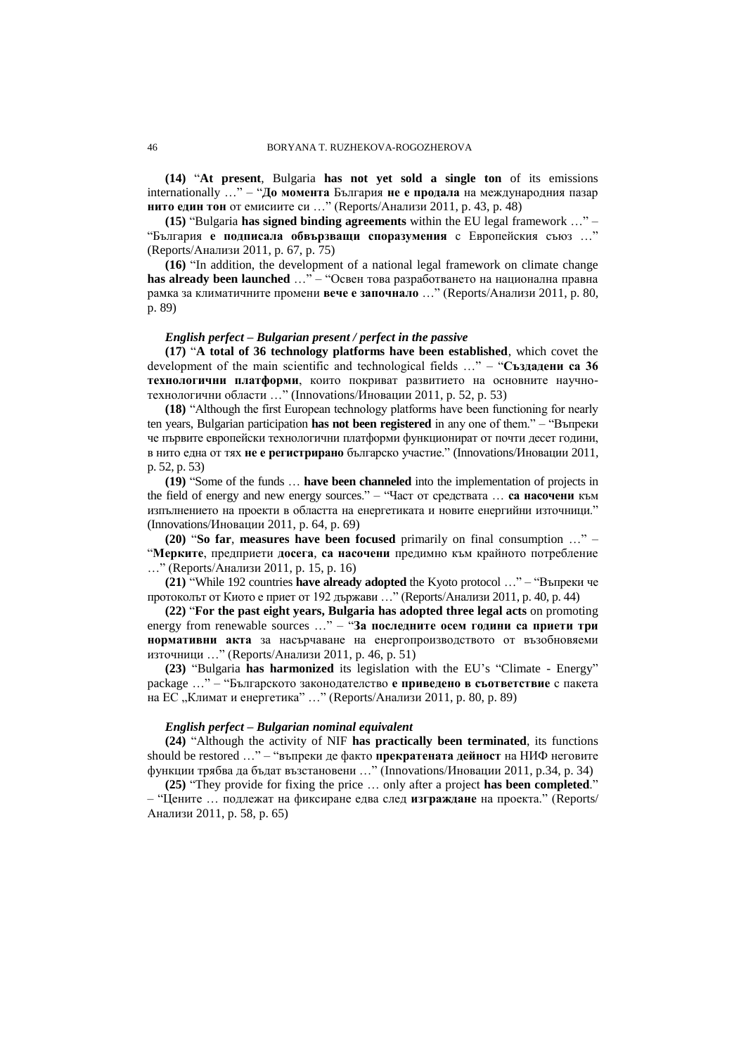**(14)** "**At present**, Bulgaria **has not yet sold a single ton** of its emissions internationally …" – "**До момента** България **не е продала** на международния пазар **нито един тон** от емисиите си …" (Reports/Анализи 2011, p. 43, p. 48)

**(15)** "Bulgaria **has signed binding agreements** within the EU legal framework …" – "България **е подписала обвързващи споразумения** с Европейския съюз …" (Reports/Анализи 2011, p. 67, p. 75)

**(16)** "In addition, the development of a national legal framework on climate change **has already been launched** …" – "Освен това разработването на национална правна рамка за климатичните промени **вече е започнало** …" (Reports/Анализи 2011, p. 80, p. 89)

# *English perfect – Bulgarian present / perfect in the passive*

**(17)** "**A total of 36 technology platforms have been established**, which covet the development of the main scientific and technological fields …" – "**Създадени са 36 технологични платформи**, които покриват развитието на основните научнотехнологични области …" (Innovations/Иновации 2011, p. 52, p. 53)

**(18)** "Although the first European technology platforms have been functioning for nearly ten years, Bulgarian participation **has not been registered** in any one of them." – "Въпреки че първите европейски технологични платформи функционират от почти десет години, в нито една от тях **не е регистрирано** българско участие." (Innovations/Иновации 2011, p. 52, p. 53)

**(19)** "Some of the funds … **have been channeled** into the implementation of projects in the field of energy and new energy sources." – "Част от средствата … **са насочени** към изпълнението на проекти в областта на енергетиката и новите енергийни източници." (Innovations/Иновации 2011, p. 64, p. 69)

**(20)** "**So far**, **measures have been focused** primarily on final consumption …" – "**Мерките**, предприети **досега**, **са насочени** предимно към крайното потребление …" (Reports/Анализи 2011, p. 15, p. 16)

**(21)** "While 192 countries **have already adopted** the Kyoto protocol …" – "Въпреки че протоколът от Киото е приет от 192 държави …" (Reports/Анализи 2011, p. 40, p. 44)

**(22)** "**For the past eight years, Bulgaria has adopted three legal acts** on promoting energy from renewable sources …" – "**За последните осем години са приети три нормативни акта** за насърчаване на енергопроизводството от възобновяеми източници …" (Reports/Анализи 2011, p. 46, p. 51)

**(23)** "Bulgaria **has harmonized** its legislation with the EU"s "Climate - Energy" package …" – "Българското законодателство **е приведено в съответствие** с пакета на ЕС "Климат и енергетика" ..." (Reports/Анализи 2011, р. 80, р. 89)

#### *English perfect – Bulgarian nominal equivalent*

**(24)** "Although the activity of NIF **has practically been terminated**, its functions should be restored …" – "въпреки де факто **прекратената дейност** на НИФ неговите функции трябва да бъдат възстановени …" (Innovations/Иновации 2011, p.34, p. 34)

**(25)** "They provide for fixing the price … only after a project **has been completed**." – "Цените … подлежат на фиксиране едва след **изграждане** на проекта." (Reports/ Анализи 2011, p. 58, p. 65)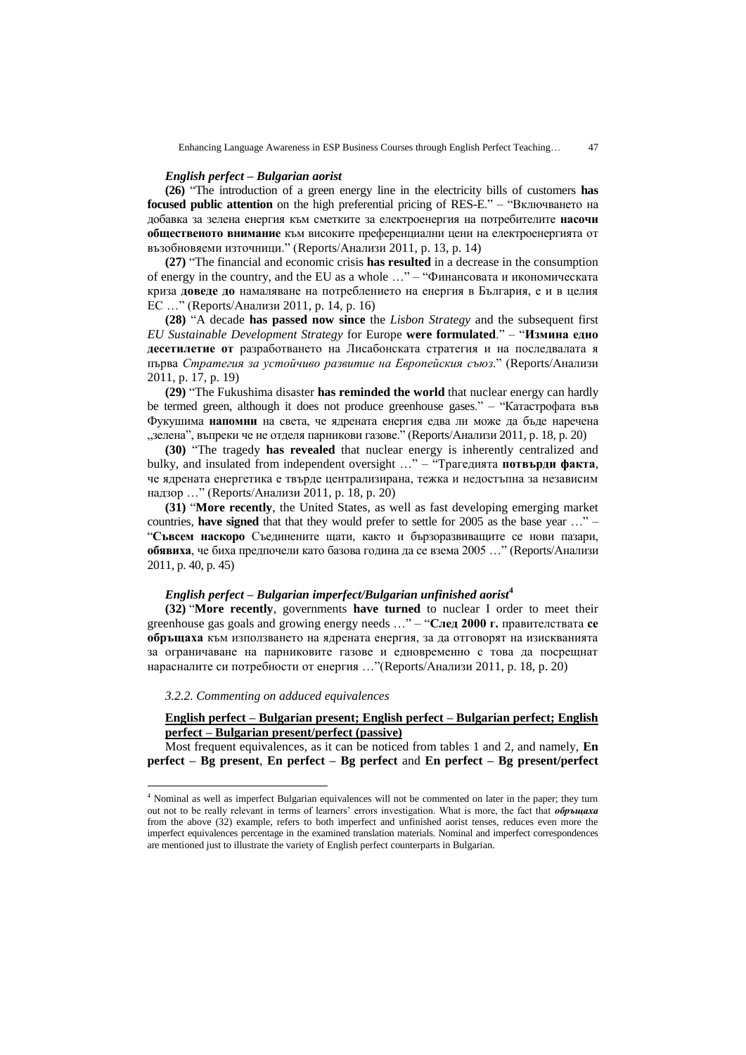#### *English perfect – Bulgarian aorist*

**(26)** "The introduction of a green energy line in the electricity bills of customers **has focused public attention** on the high preferential pricing of RES-E." – "Включването на добавка за зелена енергия към сметките за електроенергия на потребителите **насочи общественото внимание** към високите преференциални цени на електроенергията от възобновяеми източници." (Reports/Анализи 2011, p. 13, p. 14)

**(27)** "The financial and economic crisis **has resulted** in a decrease in the consumption of energy in the country, and the EU as a whole …" – "Финансовата и икономическата криза **доведе до** намаляване на потреблението на енергия в България, е и в целия ЕС …" (Reports/Анализи 2011, p. 14, p. 16)

**(28)** "A decade **has passed now since** the *Lisbon Strategy* and the subsequent first *EU Sustainable Development Strategy* for Europe **were formulated**." – "**Измина едно десетилетие от** разработването на Лисабонската стратегия и на последвалата я първа *Стратегия за устойчиво развитие на Европейския съюз*." (Reports/Анализи 2011, p. 17, p. 19)

**(29)** "The Fukushima disaster **has reminded the world** that nuclear energy can hardly be termed green, although it does not produce greenhouse gases." – "Катастрофата във Фукушима **напомни** на света, че ядрената енергия едва ли може да бъде наречена  $\alpha$ зелена", въпреки че не отделя парникови газове." (Reports/Анализи 2011, р. 18, р. 20)

**(30)** "The tragedy **has revealed** that nuclear energy is inherently centralized and bulky, and insulated from independent oversight …" – "Трагедията **потвърди факта**, че ядрената енергетика е твърде централизирана, тежка и недостъпна за независим надзор …" (Reports/Анализи 2011, p. 18, p. 20)

**(31)** "**More recently**, the United States, as well as fast developing emerging market countries, **have signed** that that they would prefer to settle for 2005 as the base year …" – "**Съвсем наскоро** Съединените щати, както и бързоразвиващите се нови пазари, **обявиха**, че биха предпочели като базова година да се взема 2005 …" (Reports/Анализи 2011, p. 40, p. 45)

#### *English perfect – Bulgarian imperfect/Bulgarian unfinished aorist***<sup>4</sup>**

**(32)** "**More recently**, governments **have turned** to nuclear I order to meet their greenhouse gas goals and growing energy needs …" – "**След 2000 г.** правителствата **се обръщаха** към използването на ядрената енергия, за да отговорят на изискванията за ограничаване на парниковите газове и едновременно с това да посрещнат нарасналите си потребности от енергия …"(Reports/Анализи 2011, p. 18, p. 20)

#### *3.2.2. Commenting on adduced equivalences*

 $\overline{a}$ 

# **English perfect – Bulgarian present; English perfect – Bulgarian perfect; English perfect – Bulgarian present/perfect (passive)**

Most frequent equivalences, as it can be noticed from tables 1 and 2, and namely, **En perfect – Bg present**, **En perfect – Bg perfect** and **En perfect – Bg present/perfect** 

<sup>4</sup> Nominal as well as imperfect Bulgarian equivalences will not be commented on later in the paper; they turn out not to be really relevant in terms of learners" errors investigation. What is more, the fact that *обръщаха* from the above (32) example, refers to both imperfect and unfinished aorist tenses, reduces even more the imperfect equivalences percentage in the examined translation materials. Nominal and imperfect correspondences are mentioned just to illustrate the variety of English perfect counterparts in Bulgarian.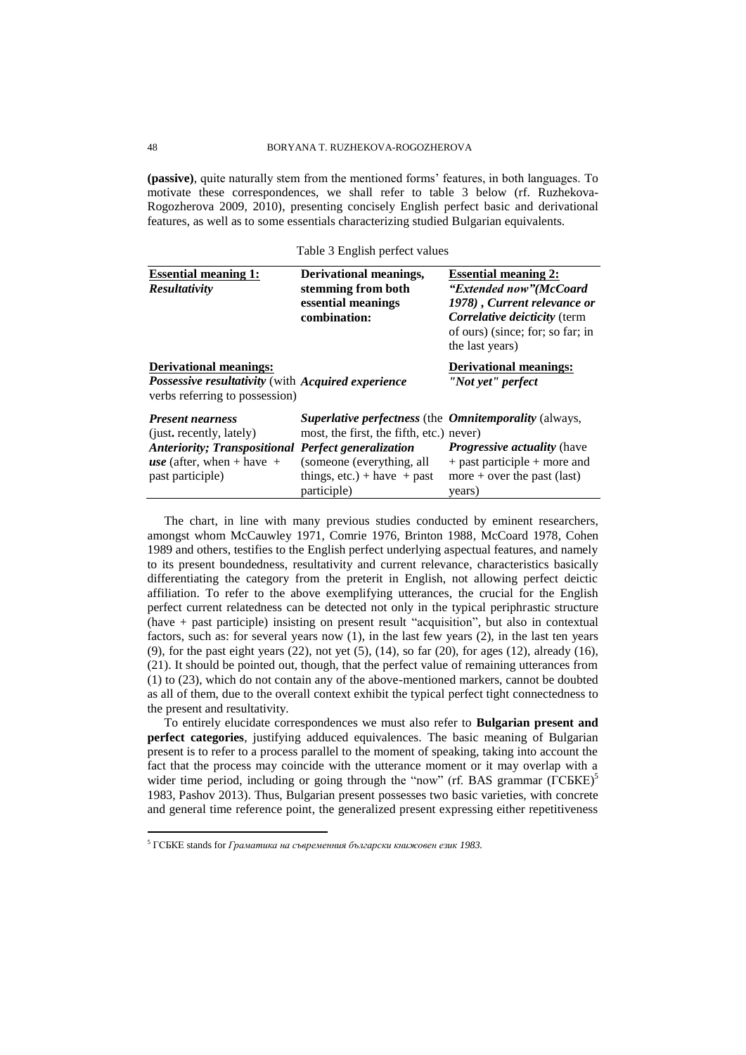**(passive)**, quite naturally stem from the mentioned forms" features, in both languages. To motivate these correspondences, we shall refer to table 3 below (rf. Ruzhekova-Rogozherova 2009, 2010), presenting concisely English perfect basic and derivational features, as well as to some essentials characterizing studied Bulgarian equivalents.

Table 3 English perfect values

| <b>Essential meaning 1:</b><br><b>Resultativity</b>                                                                                                                       | Derivational meanings,<br>stemming from both<br>essential meanings<br>combination:                                                                                                     | <b>Essential meaning 2:</b><br>"Extended now" (McCoard<br>1978), Current relevance or<br>Correlative deicticity (term<br>of ours) (since; for; so far; in<br>the last years) |
|---------------------------------------------------------------------------------------------------------------------------------------------------------------------------|----------------------------------------------------------------------------------------------------------------------------------------------------------------------------------------|------------------------------------------------------------------------------------------------------------------------------------------------------------------------------|
| <b>Derivational meanings:</b><br>Possessive resultativity (with Acquired experience<br>verbs referring to possession)                                                     |                                                                                                                                                                                        | <b>Derivational meanings:</b><br>"Not yet" perfect                                                                                                                           |
| <b>Present nearness</b><br>(just. recently, lately)<br><b>Anteriority; Transpositional Perfect generalization</b><br><i>use</i> (after, when + have +<br>past participle) | <b>Superlative perfectness (the Omnitemporality (always,</b><br>most, the first, the fifth, etc.) never)<br>(someone (everything, all<br>things, $etc.$ ) + have + past<br>participle) | <b><i>Progressive actuality (have</i></b><br>$+$ past participle $+$ more and<br>more + over the past (last)<br>years)                                                       |

The chart, in line with many previous studies conducted by eminent researchers, amongst whom McCauwley 1971, Comrie 1976, Brinton 1988, McCoard 1978, Cohen 1989 and others, testifies to the English perfect underlying aspectual features, and namely to its present boundedness, resultativity and current relevance, characteristics basically differentiating the category from the preterit in English, not allowing perfect deictic affiliation. To refer to the above exemplifying utterances, the crucial for the English perfect current relatedness can be detected not only in the typical periphrastic structure (have + past participle) insisting on present result "acquisition", but also in contextual factors, such as: for several years now (1), in the last few years (2), in the last ten years (9), for the past eight years  $(22)$ , not yet  $(5)$ ,  $(14)$ , so far  $(20)$ , for ages  $(12)$ , already  $(16)$ , (21). It should be pointed out, though, that the perfect value of remaining utterances from (1) to (23), which do not contain any of the above-mentioned markers, cannot be doubted as all of them, due to the overall context exhibit the typical perfect tight connectedness to the present and resultativity.

To entirely elucidate correspondences we must also refer to **Bulgarian present and perfect categories**, justifying adduced equivalences. The basic meaning of Bulgarian present is to refer to a process parallel to the moment of speaking, taking into account the fact that the process may coincide with the utterance moment or it may overlap with a wider time period, including or going through the "now" (rf. BAS grammar ( $\widehat{\text{ICBKE}}$ )<sup>5</sup> 1983, Pashov 2013). Thus, Bulgarian present possesses two basic varieties, with concrete and general time reference point, the generalized present expressing either repetitiveness

<sup>5</sup> ГСБКЕ stands for *Граматика на съвременния български книжовен език 1983.*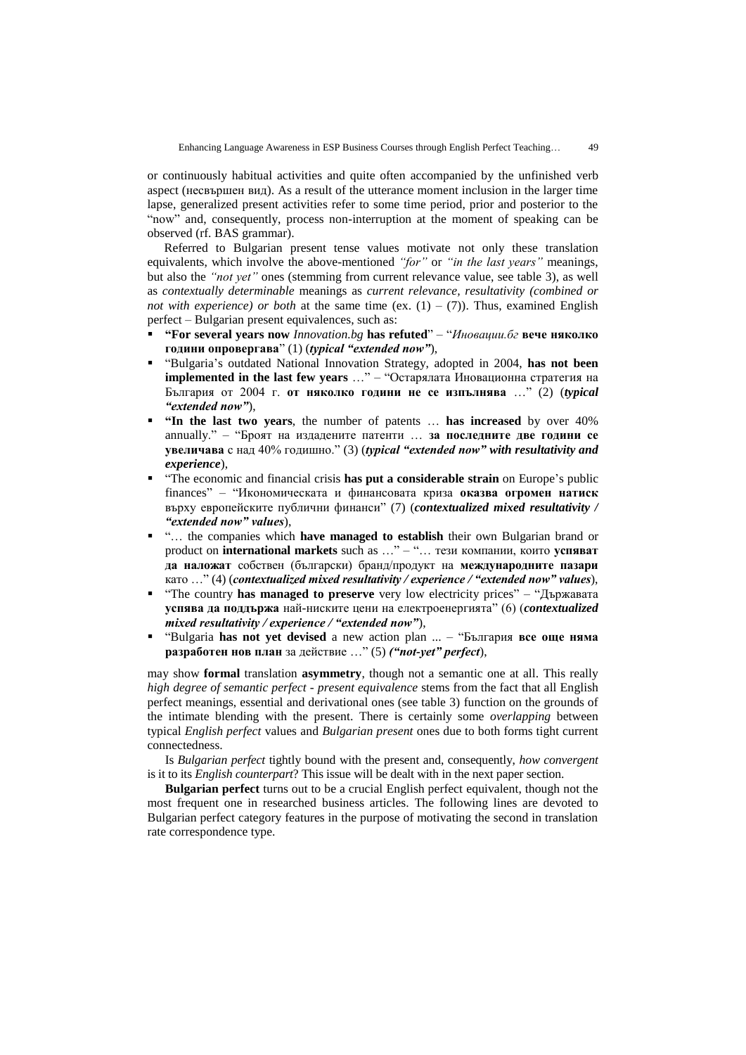or continuously habitual activities and quite often accompanied by the unfinished verb aspect (несвършен вид). As a result of the utterance moment inclusion in the larger time lapse, generalized present activities refer to some time period, prior and posterior to the "now" and, consequently, process non-interruption at the moment of speaking can be observed (rf. BAS grammar).

Referred to Bulgarian present tense values motivate not only these translation equivalents, which involve the above-mentioned *"for"* or *"in the last years"* meanings, but also the *"not yet"* ones (stemming from current relevance value, see table 3), as well as *contextually determinable* meanings as *current relevance, resultativity (combined or not with experience) or both* at the same time (ex.  $(1) - (7)$ ). Thus, examined English perfect – Bulgarian present equivalences, such as:

- **"For several years now** *Innovation.bg* **has refuted**" "*Иновации.бг* **вече няколко години опровергава**" (1) (*typical "extended now"*),
- "Bulgaria"s outdated National Innovation Strategy, adopted in 2004, **has not been implemented in the last few years** …" – "Остарялата Иновационна стратегия на България от 2004 г. **от няколко години не се изпълнява** …" (2) (*typical "extended now"*),
- **"In the last two years**, the number of patents … **has increased** by over 40% annually." – "Броят на издадените патенти … **за последните две години се увеличава** с над 40% годишно." (3) (*typical "extended now" with resultativity and experience*),
- "The economic and financial crisis **has put a considerable strain** on Europe"s public finances" – "Икономическата и финансовата криза **оказва огромен натиск** върху европейските публични финанси" (7) (*contextualized mixed resultativity / "extended now" values*),
- "… the companies which **have managed to establish** their own Bulgarian brand or product on **international markets** such as …" – "… тези компании, които **успяват да наложат** собствен (български) бранд/продукт на **международните пазари** като …" (4) (*contextualized mixed resultativity / experience / "extended now" values*),
- "The country **has managed to preserve** very low electricity prices" "Държавата" **успява да поддържа** най-ниските цени на електроенергията" (6) (*contextualized mixed resultativity / experience / "extended now"*),
- "Bulgaria **has not yet devised** a new action plan ... "България **все още няма разработен нов план** за действие …" (5) *("not-yet" perfect*),

may show **formal** translation **asymmetry**, though not a semantic one at all. This really *high degree of semantic perfect - present equivalence* stems from the fact that all English perfect meanings, essential and derivational ones (see table 3) function on the grounds of the intimate blending with the present. There is certainly some *overlapping* between typical *English perfect* values and *Bulgarian present* ones due to both forms tight current connectedness.

Is *Bulgarian perfect* tightly bound with the present and, consequently, *how convergent* is it to its *English counterpart*? This issue will be dealt with in the next paper section.

**Bulgarian perfect** turns out to be a crucial English perfect equivalent, though not the most frequent one in researched business articles. The following lines are devoted to Bulgarian perfect category features in the purpose of motivating the second in translation rate correspondence type.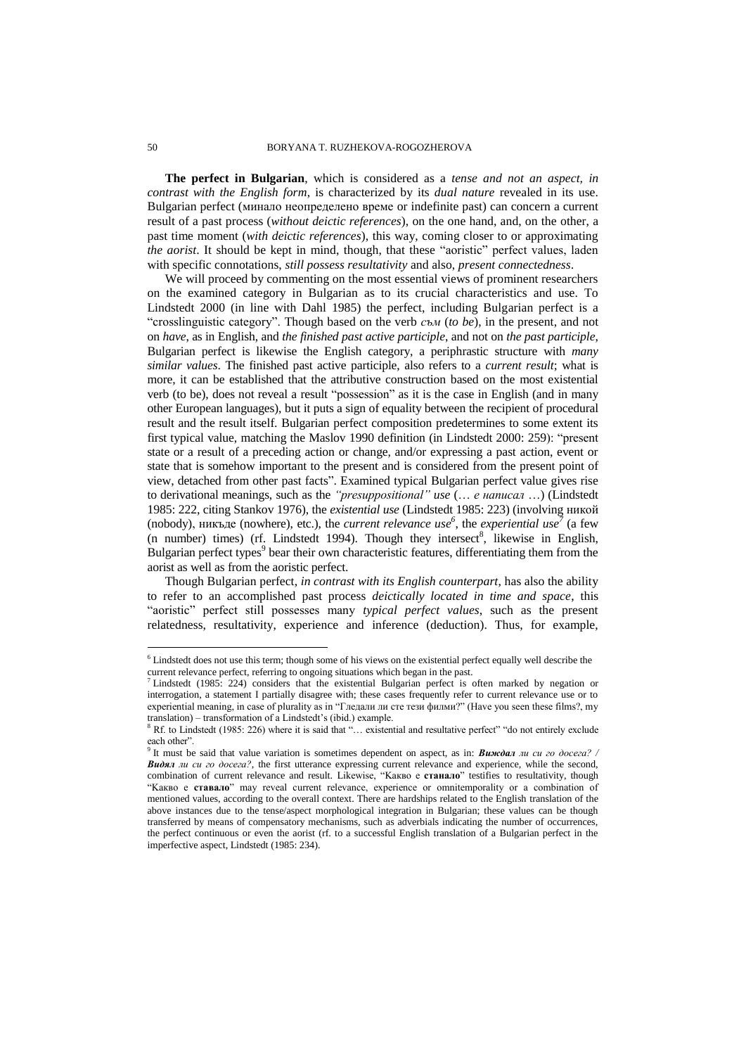**The perfect in Bulgarian**, which is considered as a *tense and not an aspect, in contrast with the English form*, is characterized by its *dual nature* revealed in its use. Bulgarian perfect (минало неопределено време or indefinite past) can concern a current result of a past process (*without deictic references*), on the one hand, and, on the other, a past time moment (*with deictic references*), this way, coming closer to or approximating *the aorist*. It should be kept in mind, though, that these "aoristic" perfect values, laden with specific connotations, *still possess resultativity* and also, *present connectedness*.

We will proceed by commenting on the most essential views of prominent researchers on the examined category in Bulgarian as to its crucial characteristics and use. To Lindstedt 2000 (in line with Dahl 1985) the perfect, including Bulgarian perfect is a "crosslinguistic category". Though based on the verb *съм* (*to be*), in the present, and not on *have*, as in English, and *the finished past active participle*, and not on *the past participle*, Bulgarian perfect is likewise the English category, a periphrastic structure with *many similar values*. The finished past active participle, also refers to a *current result*; what is more, it can be established that the attributive construction based on the most existential verb (to be), does not reveal a result "possession" as it is the case in English (and in many other European languages), but it puts a sign of equality between the recipient of procedural result and the result itself. Bulgarian perfect composition predetermines to some extent its first typical value, matching the Maslov 1990 definition (in Lindstedt 2000: 259): "present state or a result of a preceding action or change, and/or expressing a past action, event or state that is somehow important to the present and is considered from the present point of view, detached from other past facts". Examined typical Bulgarian perfect value gives rise to derivational meanings, such as the *"presuppositional" use* (… *е написал* …) (Lindstedt 1985: 222, citing Stankov 1976), the *existential use* (Lindstedt 1985: 223) (involving никой (nobody), никъде (nowhere), etc.), the *current relevance use*<sup>6</sup>, the *experiential use*<sup>7</sup> (a few (n number) times) (rf. Lindstedt 1994). Though they intersect<sup>8</sup>, likewise in English, Bulgarian perfect types<sup>9</sup> bear their own characteristic features, differentiating them from the aorist as well as from the aoristic perfect.

Though Bulgarian perfect, *in contrast with its English counterpart*, has also the ability to refer to an accomplished past process *deictically located in time and space*, this "aoristic" perfect still possesses many *typical perfect values*, such as the present relatedness, resultativity, experience and inference (deduction). Thus, for example,

<sup>6</sup> Lindstedt does not use this term; though some of his views on the existential perfect equally well describe the current relevance perfect, referring to ongoing situations which began in the past.

<sup>&</sup>lt;sup>7</sup> Lindstedt (1985: 224) considers that the existential Bulgarian perfect is often marked by negation or interrogation, a statement I partially disagree with; these cases frequently refer to current relevance use or to experiential meaning, in case of plurality as in "Гледали ли сте тези филми?" (Have you seen these films?, my translation) – transformation of a Lindstedt"s (ibid.) example.

<sup>8</sup> Rf. to Lindstedt (1985: 226) where it is said that "… existential and resultative perfect" "do not entirely exclude each other".<br><sup>9</sup> It must be

It must be said that value variation is sometimes dependent on aspect, as in: **Виждал** *ли си го досега? Видял ли си го досега?*, the first utterance expressing current relevance and experience, while the second, combination of current relevance and result. Likewise, "Kакво е **станало**" testifies to resultativity, though "Kакво е **ставало**" may reveal current relevance, experience or omnitemporality or a combination of mentioned values, according to the overall context. There are hardships related to the English translation of the above instances due to the tense/aspect morphological integration in Bulgarian; these values can be though transferred by means of compensatory mechanisms, such as adverbials indicating the number of occurrences, the perfect continuous or even the aorist (rf. to a successful English translation of a Bulgarian perfect in the imperfective aspect, Lindstedt (1985: 234).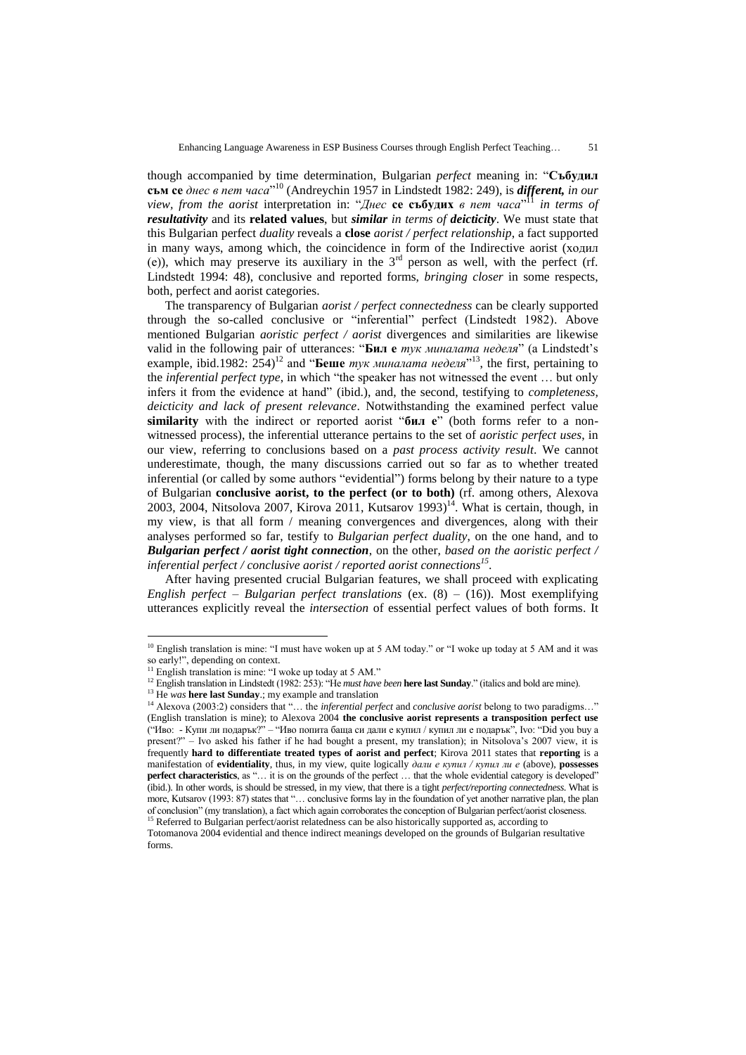though accompanied by time determination, Bulgarian *perfect* meaning in: "**Събудил съм се** *днес в пет часа*" <sup>10</sup> (Andreychin 1957 in Lindstedt 1982: 249), is *different, in our view, from the aorist* interpretation in: "*Днес* **се събудих** *в пет часа*" <sup>11</sup> *in terms of resultativity* and its **related values**, but *similar in terms of deicticity*. We must state that this Bulgarian perfect *duality* reveals a **close** *aorist / perfect relationship*, a fact supported in many ways, among which, the coincidence in form of the Indirective aorist (ходил (е)), which may preserve its auxiliary in the 3rd person as well, with the perfect (rf. Lindstedt 1994: 48), conclusive and reported forms, *bringing closer* in some respects, both, perfect and aorist categories.

The transparency of Bulgarian *aorist / perfect connectedness* can be clearly supported through the so-called conclusive or "inferential" perfect (Lindstedt 1982). Above mentioned Bulgarian *aoristic perfect / aorist* divergences and similarities are likewise valid in the following pair of utterances: "**Бил е** *тук миналата неделя*" (a Lindstedt"s example, ibid.1982: 254) <sup>12</sup> and "**Беше** *тук миналата неделя*" <sup>13</sup>, the first, pertaining to the *inferential perfect type*, in which "the speaker has not witnessed the event … but only infers it from the evidence at hand" (ibid.), and, the second, testifying to *completeness, deicticity and lack of present relevance*. Notwithstanding the examined perfect value **similarity** with the indirect or reported aorist "**бил е**" (both forms refer to a nonwitnessed process), the inferential utterance pertains to the set of *aoristic perfect uses*, in our view, referring to conclusions based on a *past process activity result*. We cannot underestimate, though, the many discussions carried out so far as to whether treated inferential (or called by some authors "evidential") forms belong by their nature to a type of Bulgarian **conclusive aorist, to the perfect (or to both)** (rf. among others, Alexova 2003, 2004, Nitsolova 2007, Kirova 2011, Kutsarov 1993)<sup>14</sup>. What is certain, though, in my view, is that all form / meaning convergences and divergences, along with their analyses performed so far, testify to *Bulgarian perfect duality*, on the one hand, and to *Bulgarian perfect / aorist tight connection*, on the other, *based on the aoristic perfect / inferential perfect / conclusive aorist / reported aorist connections<sup>15</sup>* .

After having presented crucial Bulgarian features, we shall proceed with explicating *English perfect – Bulgarian perfect translations* (ex. (8) – (16)). Most exemplifying utterances explicitly reveal the *intersection* of essential perfect values of both forms. It

<sup>&</sup>lt;sup>10</sup> English translation is mine: "I must have woken up at 5 AM today." or "I woke up today at 5 AM and it was so early!", depending on context.

English translation is mine: "I woke up today at 5 AM."

<sup>12</sup> English translation in Lindstedt (1982: 253): "He *must have been* **here last Sunday**." (italics and bold are mine).

<sup>&</sup>lt;sup>13</sup> He *was* **here last Sunday**:; my example and translation

<sup>14</sup> Alexova (2003:2) considers that "… the *inferential perfect* and *conclusive aorist* belong to two paradigms…" (English translation is mine); to Alexova 2004 **the conclusive aorist represents a transposition perfect use** ("Иво: - Купи ли подарък?" – "Иво попита баща си дали е купил / купил ли е подарък", Ivo: "Did you buy a present?" – Ivo asked his father if he had bought a present, my translation); in Nitsolova"s 2007 view, it is frequently **hard to differentiate treated types of aorist and perfect**; Kirova 2011 states that **reporting** is a manifestation of **evidentiality**, thus, in my view, quite logically *дали е купил / купил ли е* (above), **possesses perfect characteristics**, as "... it is on the grounds of the perfect ... that the whole evidential category is developed" (ibid.). In other words, is should be stressed, in my view, that there is a tight *perfect/reporting connectedness*. What is more, Kutsarov (1993: 87) states that "... conclusive forms lay in the foundation of yet another narrative plan, the plan of conclusion" (my translation), a fact which again corroborates the conception of Bulgarian perfect/aorist closeness. <sup>15</sup> Referred to Bulgarian perfect/aorist relatedness can be also historically supported as, according to

Totomanova 2004 evidential and thence indirect meanings developed on the grounds of Bulgarian resultative forms.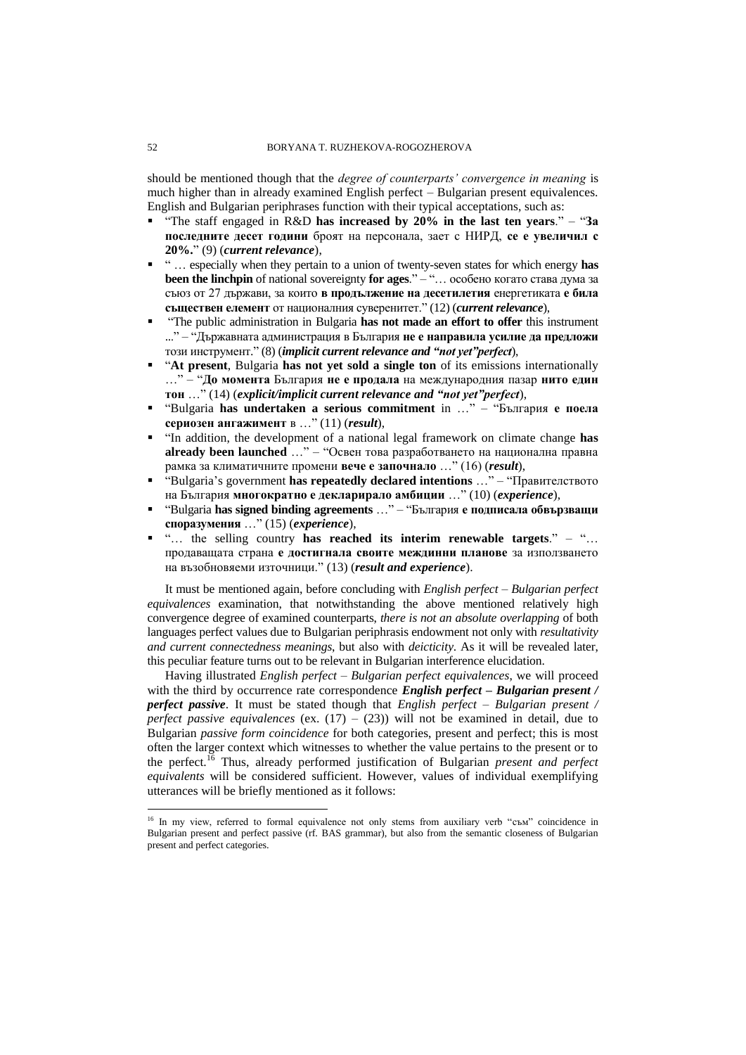should be mentioned though that the *degree of counterparts' convergence in meaning* is much higher than in already examined English perfect – Bulgarian present equivalences. English and Bulgarian periphrases function with their typical acceptations, such as:

- "The staff engaged in R&D **has increased by 20% in the last ten years**." "**За последните десет години** броят на персонала, зает с НИРД, **се е увеличил с 20%.**" (9) (*current relevance*),
- " … especially when they pertain to a union of twenty-seven states for which energy **has been the linchpin** of national sovereignty **for ages**." – "… особено когато става дума за съюз от 27 държави, за които **в продължение на десетилетия** енергетиката **е била съществен елемент** от националния суверенитет." (12) (*current relevance*),
- "The public administration in Bulgaria **has not made an effort to offer** this instrument ..." – "Държавната администрация в България **не е направила усилие да предложи** този инструмент." (8) (*implicit current relevance and "not yet"perfect*),
- "**At present**, Bulgaria **has not yet sold a single ton** of its emissions internationally …" – "**До момента** България **не е продала** на международния пазар **нито един тон** …" (14) (*explicit/implicit current relevance and "not yet"perfect*),
- "Bulgaria **has undertaken a serious commitment** in …" "България **е поела сериозен ангажимент** в …" (11) (*result*),
- "In addition, the development of a national legal framework on climate change **has already been launched** …" – "Освен това разработването на национална правна рамка за климатичните промени **вече е започнало** …" (16) (*result*),
- "Bulgaria"s government **has repeatedly declared intentions** …" "Правителството на България **многократно е декларирало амбиции** …" (10) (*experience*),
- "Bulgaria **has signed binding agreements** …" "България **е подписала обвързващи споразумения** …" (15) (*experience*),
- "… the selling country **has reached its interim renewable targets**." "… продаващата страна **е достигнала своите междинни планове** за използването на възобновяеми източници." (13) (*result and experience*).

It must be mentioned again, before concluding with *English perfect – Bulgarian perfect equivalences* examination, that notwithstanding the above mentioned relatively high convergence degree of examined counterparts, *there is not an absolute overlapping* of both languages perfect values due to Bulgarian periphrasis endowment not only with *resultativity and current connectedness meanings*, but also with *deicticity*. As it will be revealed later, this peculiar feature turns out to be relevant in Bulgarian interference elucidation.

Having illustrated *English perfect – Bulgarian perfect equivalences*, we will proceed with the third by occurrence rate correspondence *English perfect – Bulgarian present / perfect passive*. It must be stated though that *English perfect – Bulgarian present / perfect passive equivalences* (ex.  $(17) - (23)$ ) will not be examined in detail, due to Bulgarian *passive form coincidence* for both categories, present and perfect; this is most often the larger context which witnesses to whether the value pertains to the present or to the perfect.<sup>16</sup> Thus, already performed justification of Bulgarian *present and perfect equivalents* will be considered sufficient. However, values of individual exemplifying utterances will be briefly mentioned as it follows:

<sup>16</sup> In my view, referred to formal equivalence not only stems from auxiliary verb "съм" coincidence in Bulgarian present and perfect passive (rf. BAS grammar), but also from the semantic closeness of Bulgarian present and perfect categories.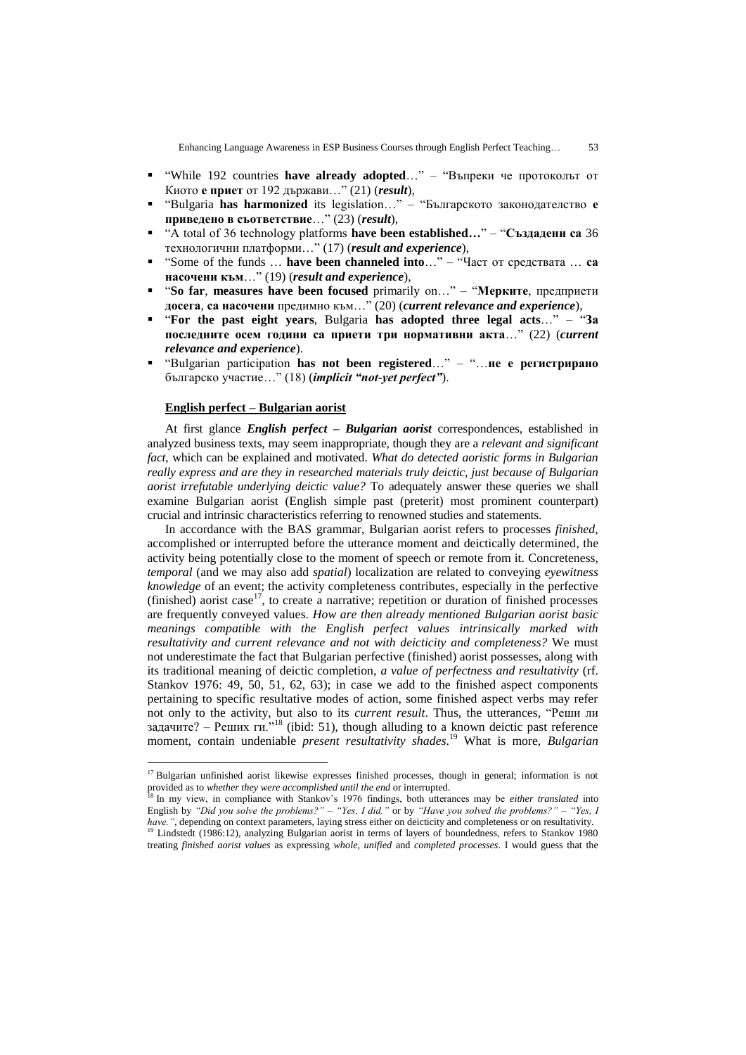- "While 192 countries **have already adopted**…" "Въпреки че протоколът от Киото **е приет** от 192 държави…" (21) (*result*),
- "Bulgaria **has harmonized** its legislation…" "Българското законодателство **е приведено в съответствие**…" (23) (*result*),
- "A total of 36 technology platforms **have been established…**" "**Създадени са** 36 технологични платформи…" (17) (*result and experience*),
- "Some of the funds … **have been channeled into**…" "Част от средствата … **са насочени към**…" (19) (*result and experience*),
- "**So far**, **measures have been focused** primarily on…" "**Мерките**, предприети **досега**, **са насочени** предимно към…" (20) (*current relevance and experience*),
- "**For the past eight years**, Bulgaria **has adopted three legal acts**…" "**За последните осем години са приети три нормативни акта**…" (22) (*current relevance and experience*).
- "Bulgarian participation **has not been registered**…" "…**не е регистрирано** българско участие…" (18) (*implicit "not-yet perfect"*).

### **English perfect – Bulgarian aorist**

 $\overline{a}$ 

At first glance *English perfect – Bulgarian aorist* correspondences, established in analyzed business texts, may seem inappropriate, though they are a *relevant and significant fact*, which can be explained and motivated. *What do detected aoristic forms in Bulgarian really express and are they in researched materials truly deictic, just because of Bulgarian aorist irrefutable underlying deictic value?* To adequately answer these queries we shall examine Bulgarian aorist (English simple past (preterit) most prominent counterpart) crucial and intrinsic characteristics referring to renowned studies and statements.

In accordance with the BAS grammar, Bulgarian aorist refers to processes *finished*, accomplished or interrupted before the utterance moment and deictically determined, the activity being potentially close to the moment of speech or remote from it. Concreteness, *temporal* (and we may also add *spatial*) localization are related to conveying *eyewitness knowledge* of an event; the activity completeness contributes, especially in the perfective (finished) aorist case<sup>17</sup>, to create a narrative; repetition or duration of finished processes are frequently conveyed values. *How are then already mentioned Bulgarian aorist basic meanings compatible with the English perfect values intrinsically marked with resultativity and current relevance and not with deicticity and completeness?* We must not underestimate the fact that Bulgarian perfective (finished) aorist possesses, along with its traditional meaning of deictic completion, *a value of perfectness and resultativity* (rf. Stankov 1976: 49, 50, 51, 62, 63); in case we add to the finished aspect components pertaining to specific resultative modes of action, some finished aspect verbs may refer not only to the activity, but also to its *current result*. Thus, the utterances, "Реши ли задачите? – Реших ги."<sup>18</sup> (ibid: 51), though alluding to a known deictic past reference moment, contain undeniable *present resultativity shades*. <sup>19</sup> What is more, *Bulgarian* 

<sup>&</sup>lt;sup>17</sup> Bulgarian unfinished aorist likewise expresses finished processes, though in general; information is not provided as to *whether they were accomplished until the end* or interrupted.

<sup>&</sup>lt;sup>18</sup> In my view, in compliance with Stankov's 1976 findings, both utterances may be *either translated* into English by *"Did you solve the problems?" – "Yes, I did."* or by *"Have you solved the problems?" – "Yes, I have."*, depending on context parameters, laying stress either on deicticity and completeness or on resultativity. <sup>19</sup> Lindstedt (1986:12), analyzing Bulgarian aorist in terms of layers of boundedness, refers to Stankov 1980

treating *finished aorist values* as expressing *whole, unified* and *completed processes*. I would guess that the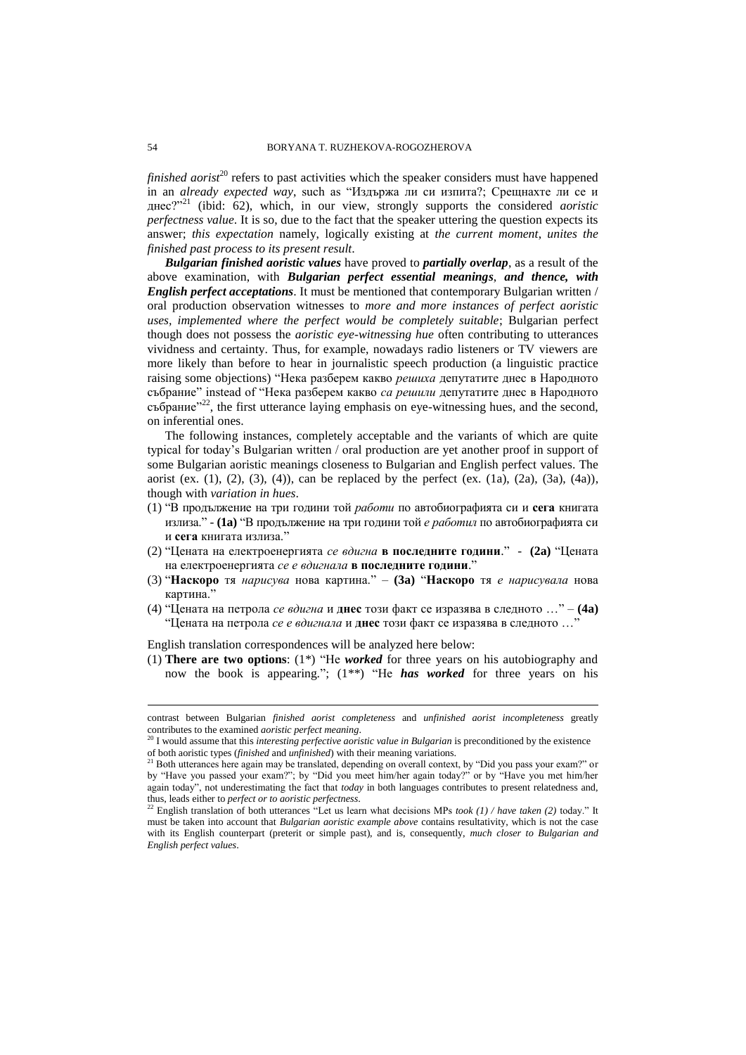*finished aorist*<sup>20</sup> refers to past activities which the speaker considers must have happened in an *already expected way*, such as "Издържа ли си изпита?; Срещнахте ли се и днес?" <sup>21</sup> (ibid: 62), which, in our view, strongly supports the considered *aoristic perfectness value*. It is so, due to the fact that the speaker uttering the question expects its answer; *this expectation* namely, logically existing at *the current moment*, *unites the finished past process to its present result*.

*Bulgarian finished aoristic values* have proved to *partially overlap*, as a result of the above examination, with *Bulgarian perfect essential meanings*, *and thence, with English perfect acceptations*. It must be mentioned that contemporary Bulgarian written / oral production observation witnesses to *more and more instances of perfect aoristic uses, implemented where the perfect would be completely suitable*; Bulgarian perfect though does not possess the *aoristic eye-witnessing hue* often contributing to utterances vividness and certainty. Thus, for example, nowadays radio listeners or TV viewers are more likely than before to hear in journalistic speech production (a linguistic practice raising some objections) "Нека разберем какво *решиха* депутатите днес в Народното събрание" instead of "Нека разберем какво *са решили* депутатите днес в Народното събрание" $2^2$ , the first utterance laying emphasis on eye-witnessing hues, and the second, on inferential ones.

The following instances, completely acceptable and the variants of which are quite typical for today"s Bulgarian written / oral production are yet another proof in support of some Bulgarian aoristic meanings closeness to Bulgarian and English perfect values. The aorist (ex.  $(1)$ ,  $(2)$ ,  $(3)$ ,  $(4)$ ), can be replaced by the perfect (ex.  $(1a)$ ,  $(2a)$ ,  $(3a)$ ,  $(4a)$ ), though with *variation in hues*.

- (1) "В продължение на три години той *работи* по автобиографията си и **сега** книгата излиза." - **(1a)** "В продължение на три години той *е работил* по автобиографията си и **сега** книгата излиза."
- (2) "Цената на електроенергията *се вдигна* **в последните години**." **(2a)** "Цената на електроенергията *се е вдигнала* **в последните години**."
- (3) "**Наскоро** тя *нарисува* нова картина." **(3a)** "**Наскоро** тя *е нарисувала* нова картина."
- (4) "Цената на петрола *се вдигна* и **днес** този факт се изразява в следното …" **(4a)** "Цената на петрола *се е вдигнала* и **днес** този факт се изразява в следното …"

English translation correspondences will be analyzed here below:

(1) **There are two options**: (1\*) "He *worked* for three years on his autobiography and now the book is appearing."; (1\*\*) "He *has worked* for three years on his

contrast between Bulgarian *finished aorist completeness* and *unfinished aorist incompleteness* greatly contributes to the examined *aoristic perfect meaning*.

<sup>20</sup> I would assume that this *interesting perfective aoristic value in Bulgarian* is preconditioned by the existence of both aoristic types (*finished* and *unfinished*) with their meaning variations.

<sup>&</sup>lt;sup>21</sup> Both utterances here again may be translated, depending on overall context, by "Did you pass your exam?" or by "Have you passed your exam?"; by "Did you meet him/her again today?" or by "Have you met him/her again today", not underestimating the fact that *today* in both languages contributes to present relatedness and, thus, leads either to *perfect or to aoristic perfectness*.

<sup>&</sup>lt;sup>22</sup> English translation of both utterances "Let us learn what decisions MPs *took (1) / have taken (2)* today." It must be taken into account that *Bulgarian aoristic example above* contains resultativity, which is not the case with its English counterpart (preterit or simple past), and is, consequently, *much closer to Bulgarian and English perfect values*.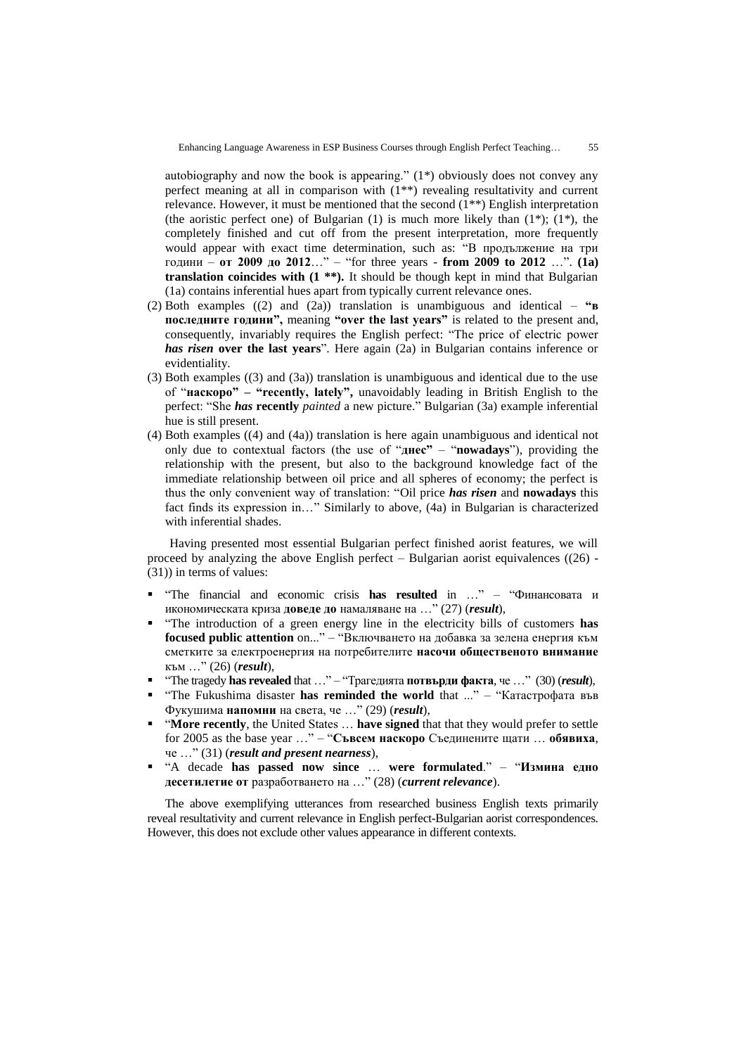autobiography and now the book is appearing." (1\*) obviously does not convey any perfect meaning at all in comparison with (1\*\*) revealing resultativity and current relevance. However, it must be mentioned that the second (1\*\*) English interpretation (the aoristic perfect one) of Bulgarian  $(1)$  is much more likely than  $(1^*)$ ;  $(1^*)$ , the completely finished and cut off from the present interpretation, more frequently would appear with exact time determination, such as: "В продължение на три години – **от 2009 до 2012**…" – "for three years - **from 2009 to 2012** …". **(1a) translation coincides with (1 \*\*).** It should be though kept in mind that Bulgarian (1a) contains inferential hues apart from typically current relevance ones.

- (2) Both examples ((2) and (2a)) translation is unambiguous and identical **"в последните години",** meaning **"over the last years"** is related to the present and, consequently, invariably requires the English perfect: "The price of electric power *has risen* **over the last years**". Here again (2a) in Bulgarian contains inference or evidentiality.
- (3) Both examples ((3) and (3a)) translation is unambiguous and identical due to the use of "**наскоро" – "recently, lately",** unavoidably leading in British English to the perfect: "She *has* **recently** *painted* a new picture." Bulgarian (3a) example inferential hue is still present.
- (4) Both examples ((4) and (4a)) translation is here again unambiguous and identical not only due to contextual factors (the use of "**днес"** – "**nowadays**"), providing the relationship with the present, but also to the background knowledge fact of the immediate relationship between oil price and all spheres of economy; the perfect is thus the only convenient way of translation: "Oil price *has risen* and **nowadays** this fact finds its expression in…" Similarly to above, (4a) in Bulgarian is characterized with inferential shades.

Having presented most essential Bulgarian perfect finished aorist features, we will proceed by analyzing the above English perfect – Bulgarian aorist equivalences  $((26)$  -(31)) in terms of values:

- "The financial and economic crisis **has resulted** in …" "Финансовата и икономическата криза **доведе до** намаляване на …" (27) (*result*),
- "The introduction of a green energy line in the electricity bills of customers **has focused public attention** on..." – "Включването на добавка за зелена енергия към сметките за електроенергия на потребителите **насочи общественото внимание** към …" (26) (*result*),
- "The tragedy **has revealed** that …" "Трагедията **потвърди факта**, че …" (30) (*result*),
- "The Fukushima disaster **has reminded the world** that ..." "Катастрофата във Фукушима **напомни** на света, че …" (29) (*result*),
- "**More recently**, the United States … **have signed** that that they would prefer to settle for 2005 as the base year …" – "**Съвсем наскоро** Съединените щати … **обявиха**, че …" (31) (*result and present nearness*),
- "A decade **has passed now since** … **were formulated**." "**Измина едно десетилетие от** разработването на …" (28) (*current relevance*).

The above exemplifying utterances from researched business English texts primarily reveal resultativity and current relevance in English perfect-Bulgarian aorist correspondences. However, this does not exclude other values appearance in different contexts.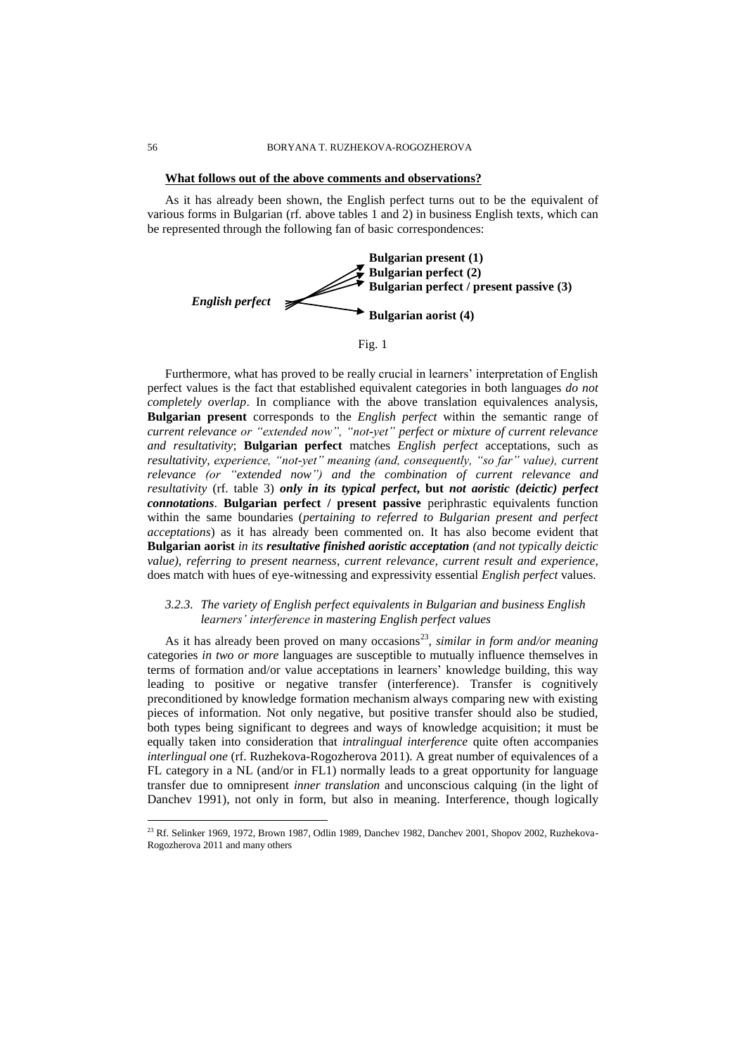### **What follows out of the above comments and observations?**

As it has already been shown, the English perfect turns out to be the equivalent of various forms in Bulgarian (rf. above tables 1 and 2) in business English texts, which can be represented through the following fan of basic correspondences:



Fig. 1

Furthermore, what has proved to be really crucial in learners' interpretation of English perfect values is the fact that established equivalent categories in both languages *do not completely overlap*. In compliance with the above translation equivalences analysis, **Bulgarian present** corresponds to the *English perfect* within the semantic range of *current relevance or "extended now", "not-yet" perfect or mixture of current relevance and resultativity*; **Bulgarian perfect** matches *English perfect* acceptations, such as *resultativity, experience, "not-yet" meaning (and, consequently, "so far" value), current relevance (or "extended now") and the combination of current relevance and resultativity* (rf. table 3) *only in its typical perfect***, but** *not aoristic (deictic) perfect connotations*. **Bulgarian perfect / present passive** periphrastic equivalents function within the same boundaries (*pertaining to referred to Bulgarian present and perfect acceptations*) as it has already been commented on. It has also become evident that **Bulgarian aorist** *in its resultative finished aoristic acceptation (and not typically deictic value), referring to present nearness, current relevance, current result and experience*, does match with hues of eye-witnessing and expressivity essential *English perfect* values.

# *3.2.3. The variety of English perfect equivalents in Bulgarian and business English learners' interference in mastering English perfect values*

As it has already been proved on many occasions<sup>23</sup>, *similar in form and/or meaning* categories *in two or more* languages are susceptible to mutually influence themselves in terms of formation and/or value acceptations in learners" knowledge building, this way leading to positive or negative transfer (interference). Transfer is cognitively preconditioned by knowledge formation mechanism always comparing new with existing pieces of information. Not only negative, but positive transfer should also be studied, both types being significant to degrees and ways of knowledge acquisition; it must be equally taken into consideration that *intralingual interference* quite often accompanies *interlingual one* (rf. Ruzhekova-Rogozherova 2011). A great number of equivalences of a FL category in a NL (and/or in FL1) normally leads to a great opportunity for language transfer due to omnipresent *inner translation* and unconscious calquing (in the light of Danchev 1991), not only in form, but also in meaning. Interference, though logically

 $^{23}$  Rf. Selinker 1969, 1972, Brown 1987, Odlin 1989, Danchev 1982, Danchev 2001, Shopov 2002, Ruzhekova-Rogozherova 2011 and many others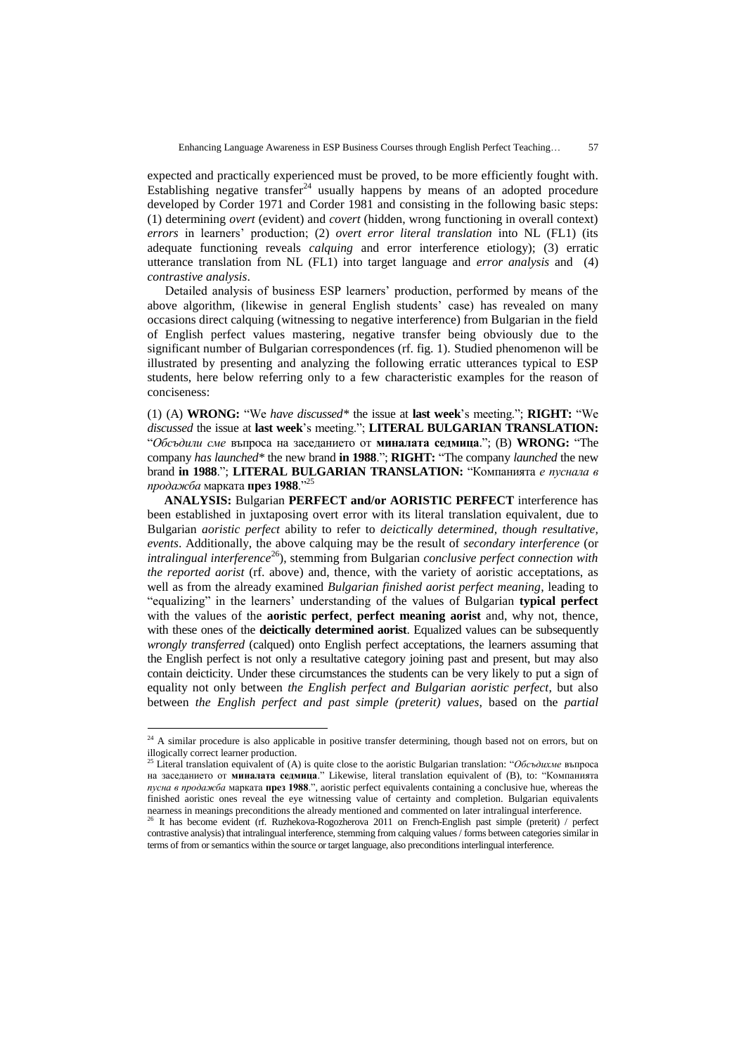expected and practically experienced must be proved, to be more efficiently fought with. Establishing negative transfer<sup>24</sup> usually happens by means of an adopted procedure developed by Corder 1971 and Corder 1981 and consisting in the following basic steps: (1) determining *overt* (evident) and *covert* (hidden, wrong functioning in overall context) *errors* in learners" production; (2) *overt error literal translation* into NL (FL1) (its adequate functioning reveals *calquing* and error interference etiology); (3) erratic utterance translation from NL (FL1) into target language and *error analysis* and (4) *contrastive analysis*.

Detailed analysis of business ESP learners" production, performed by means of the above algorithm, (likewise in general English students" case) has revealed on many occasions direct calquing (witnessing to negative interference) from Bulgarian in the field of English perfect values mastering, negative transfer being obviously due to the significant number of Bulgarian correspondences (rf. fig. 1). Studied phenomenon will be illustrated by presenting and analyzing the following erratic utterances typical to ESP students, here below referring only to a few characteristic examples for the reason of conciseness:

(1) (A) **WRONG:** "We *have discussed\** the issue at **last week**"s meeting."; **RIGHT:** "We *discussed* the issue at **last week**"s meeting."; **LITERAL BULGARIAN TRANSLATION:** "*Обсъдили сме* въпроса на заседанието от **миналата седмица**."; (B) **WRONG:** "The company *has launched\** the new brand **in 1988**."; **RIGHT:** "The company *launched* the new brand **in 1988**."; **LITERAL BULGARIAN TRANSLATION:** "Компанията *е пуснала в продажба* марката **през 1988**."<sup>25</sup>

**ANALYSIS:** Bulgarian **PERFECT and/or AORISTIC PERFECT** interference has been established in juxtaposing overt error with its literal translation equivalent, due to Bulgarian *aoristic perfect* ability to refer to *deictically determined, though resultative, events*. Additionally, the above calquing may be the result of *secondary interference* (or *intralingual interference*<sup>26</sup>), stemming from Bulgarian *conclusive perfect connection with the reported aorist* (rf. above) and, thence, with the variety of aoristic acceptations, as well as from the already examined *Bulgarian finished aorist perfect meaning*, leading to "equalizing" in the learners" understanding of the values of Bulgarian **typical perfect**  with the values of the **aoristic perfect**, **perfect meaning aorist** and, why not, thence, with these ones of the **deictically determined aorist**. Equalized values can be subsequently *wrongly transferred* (calqued) onto English perfect acceptations, the learners assuming that the English perfect is not only a resultative category joining past and present, but may also contain deicticity. Under these circumstances the students can be very likely to put a sign of equality not only between *the English perfect and Bulgarian aoristic perfect*, but also between *the English perfect and past simple (preterit) values*, based on the *partial*

 $24$  A similar procedure is also applicable in positive transfer determining, though based not on errors, but on illogically correct learner production.

<sup>25</sup> Literal translation equivalent of (A) is quite close to the aoristic Bulgarian translation: "*Обсъдихме* въпроса на заседанието от **миналата седмица**." Likewise, literal translation equivalent of (B), to: "Компанията *пусна в продажба* марката **през 1988**.", aoristic perfect equivalents containing a conclusive hue, whereas the finished aoristic ones reveal the eye witnessing value of certainty and completion. Bulgarian equivalents nearness in meanings preconditions the already mentioned and commented on later intralingual interference.

 $26$  It has become evident (rf. Ruzhekova-Rogozherova 2011 on French-English past simple (preterit) / perfect contrastive analysis) that intralingual interference, stemming from calquing values / forms between categories similar in terms of from or semantics within the source or target language, also preconditions interlingual interference.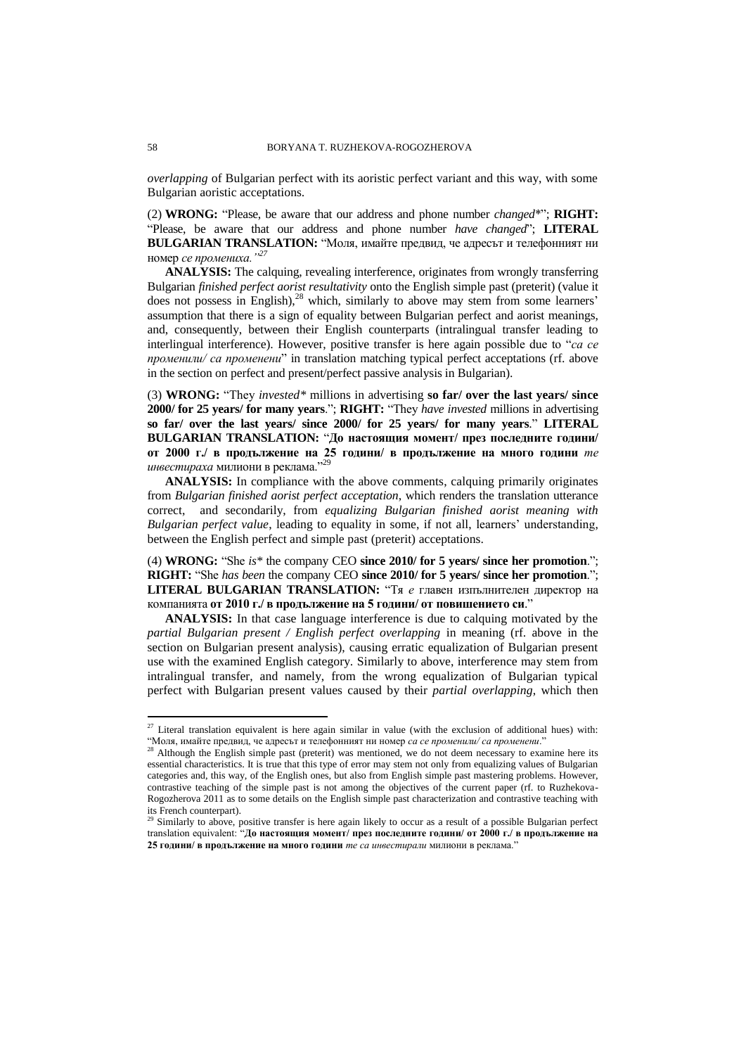*overlapping* of Bulgarian perfect with its aoristic perfect variant and this way, with some Bulgarian aoristic acceptations.

(2) **WRONG:** "Please, be aware that our address and phone number *changed*\*"; **RIGHT:** "Please, be aware that our address and phone number *have changed*"; **LITERAL BULGARIAN TRANSLATION:** "Моля, имайте предвид, че адресът и телефонният ни номер *се промениха."<sup>27</sup>*

**ANALYSIS:** The calquing, revealing interference, originates from wrongly transferring Bulgarian *finished perfect aorist resultativity* onto the English simple past (preterit) (value it does not possess in English),<sup>28</sup> which, similarly to above may stem from some learners' assumption that there is a sign of equality between Bulgarian perfect and aorist meanings, and, consequently, between their English counterparts (intralingual transfer leading to interlingual interference). However, positive transfer is here again possible due to "*са се променили/ са променени*" in translation matching typical perfect acceptations (rf. above in the section on perfect and present/perfect passive analysis in Bulgarian).

(3) **WRONG:** "They *invested\** millions in advertising **so far/ over the last years/ since 2000/ for 25 years/ for many years**."; **RIGHT:** "They *have invested* millions in advertising **so far/ over the last years/ since 2000/ for 25 years/ for many years**." **LITERAL BULGARIAN TRANSLATION:** "**До настоящия момент/ през последните години/ от 2000 г./ в продължение на 25 години/ в продължение на много години** *те инвестираха* милиони в реклама." 29

**ANALYSIS:** In compliance with the above comments, calquing primarily originates from *Bulgarian finished aorist perfect acceptation*, which renders the translation utterance correct, and secondarily, from *equalizing Bulgarian finished aorist meaning with Bulgarian perfect value*, leading to equality in some, if not all, learners' understanding, between the English perfect and simple past (preterit) acceptations.

(4) **WRONG:** "She *is\** the company CEO **since 2010/ for 5 years/ since her promotion**."; **RIGHT:** "She *has been* the company CEO **since 2010/ for 5 years/ since her promotion**."; **LITERAL BULGARIAN TRANSLATION:** "Тя *е* главен изпълнителен директор на компанията **от 2010 г./ в продължение на 5 години/ от повишението си**."

**ANALYSIS:** In that case language interference is due to calquing motivated by the *partial Bulgarian present / English perfect overlapping* in meaning (rf. above in the section on Bulgarian present analysis), causing erratic equalization of Bulgarian present use with the examined English category. Similarly to above, interference may stem from intralingual transfer, and namely, from the wrong equalization of Bulgarian typical perfect with Bulgarian present values caused by their *partial overlapping*, which then

 $27$  Literal translation equivalent is here again similar in value (with the exclusion of additional hues) with: "Моля, имайте предвид, че адресът и телефонният ни номер *са се променили/ са променени*."

<sup>28</sup> Although the English simple past (preterit) was mentioned, we do not deem necessary to examine here its essential characteristics. It is true that this type of error may stem not only from equalizing values of Bulgarian categories and, this way, of the English ones, but also from English simple past mastering problems. However, contrastive teaching of the simple past is not among the objectives of the current paper (rf. to Ruzhekova-Rogozherova 2011 as to some details on the English simple past characterization and contrastive teaching with its French counterpart).

<sup>&</sup>lt;sup>29</sup> Similarly to above, positive transfer is here again likely to occur as a result of a possible Bulgarian perfect translation equivalent: "**До настоящия момент/ през последните години/ от 2000 г./ в продължение на 25 години/ в продължение на много години** *те са инвестирали* милиони в реклама."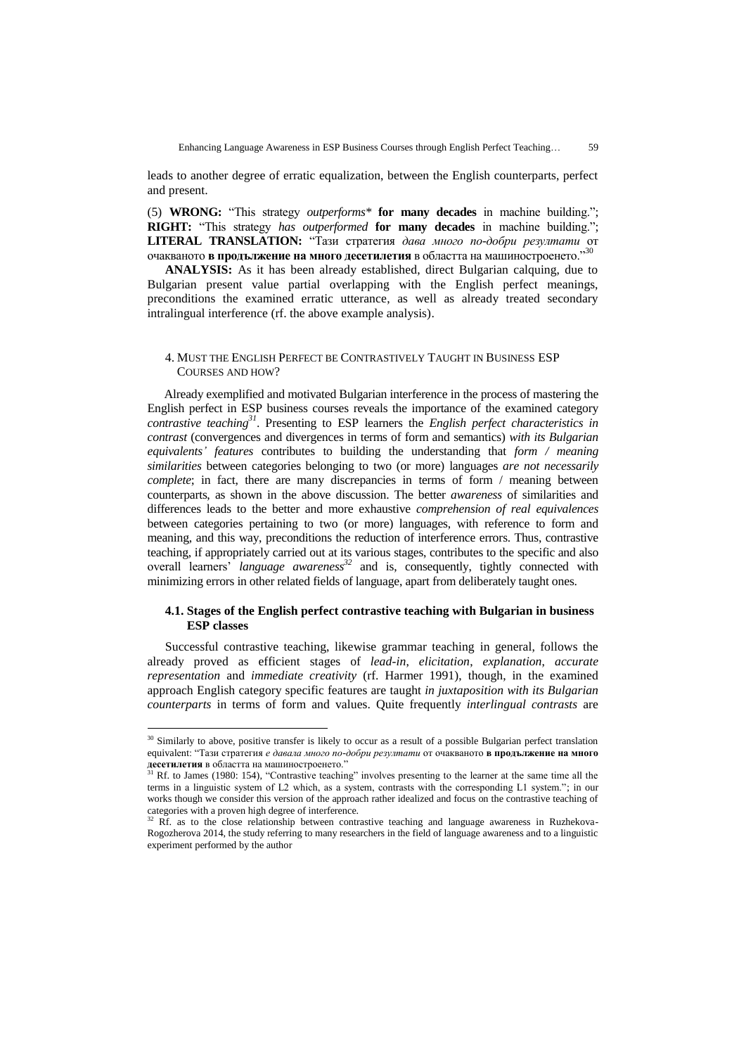leads to another degree of erratic equalization, between the English counterparts, perfect and present.

(5) **WRONG:** "This strategy *outperforms\** **for many decades** in machine building."; **RIGHT:** "This strategy *has outperformed* **for many decades** in machine building."; **LITERAL TRANSLATION:** "Тази стратегия *дава много по-добри резултати* от очакваното **в продължение на много десетилетия** в областта на машиностроенето." 30

**ANALYSIS:** As it has been already established, direct Bulgarian calquing, due to Bulgarian present value partial overlapping with the English perfect meanings, preconditions the examined erratic utterance, as well as already treated secondary intralingual interference (rf. the above example analysis).

# 4. MUST THE ENGLISH PERFECT BE CONTRASTIVELY TAUGHT IN BUSINESS ESP COURSES AND HOW?

Already exemplified and motivated Bulgarian interference in the process of mastering the English perfect in ESP business courses reveals the importance of the examined category *contrastive teaching<sup>31</sup>* . Presenting to ESP learners the *English perfect characteristics in contrast* (convergences and divergences in terms of form and semantics) *with its Bulgarian equivalents' features* contributes to building the understanding that *form / meaning similarities* between categories belonging to two (or more) languages *are not necessarily complete*; in fact, there are many discrepancies in terms of form / meaning between counterparts, as shown in the above discussion. The better *awareness* of similarities and differences leads to the better and more exhaustive *comprehension of real equivalences* between categories pertaining to two (or more) languages, with reference to form and meaning, and this way, preconditions the reduction of interference errors. Thus, contrastive teaching, if appropriately carried out at its various stages, contributes to the specific and also overall learners" *language awareness<sup>32</sup>* and is, consequently, tightly connected with minimizing errors in other related fields of language, apart from deliberately taught ones.

# **4.1. Stages of the English perfect contrastive teaching with Bulgarian in business ESP classes**

Successful contrastive teaching, likewise grammar teaching in general, follows the already proved as efficient stages of *lead-in*, *elicitation*, *explanation*, *accurate representation* and *immediate creativity* (rf. Harmer 1991), though, in the examined approach English category specific features are taught *in juxtaposition with its Bulgarian counterparts* in terms of form and values. Quite frequently *interlingual contrasts* are

<sup>&</sup>lt;sup>30</sup> Similarly to above, positive transfer is likely to occur as a result of a possible Bulgarian perfect translation equivalent: "Тази стратегия *е давала много по-добри резултати* от очакваното **в продължение на много десетилетия** в областта на машиностроенето."

 $31$  Rf. to James (1980: 154), "Contrastive teaching" involves presenting to the learner at the same time all the terms in a linguistic system of L2 which, as a system, contrasts with the corresponding L1 system."; in our works though we consider this version of the approach rather idealized and focus on the contrastive teaching of categories with a proven high degree of interference.

 $32$  Rf. as to the close relationship between contrastive teaching and language awareness in Ruzhekova-Rogozherova 2014, the study referring to many researchers in the field of language awareness and to a linguistic experiment performed by the author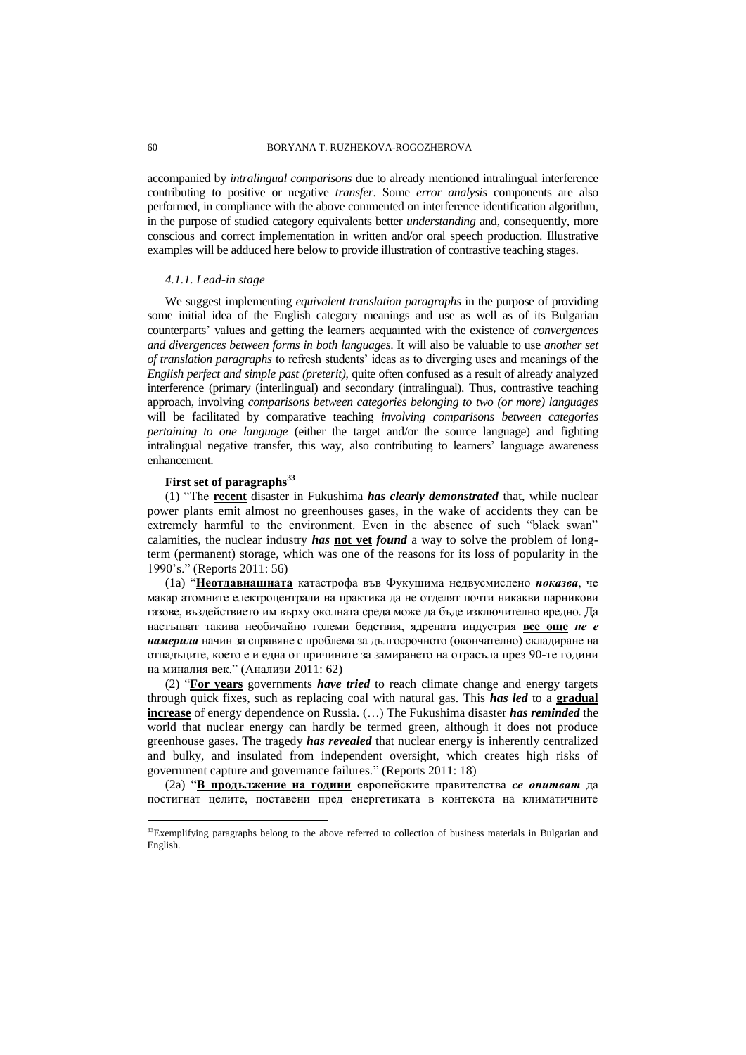accompanied by *intralingual comparisons* due to already mentioned intralingual interference contributing to positive or negative *transfer*. Some *error analysis* components are also performed, in compliance with the above commented on interference identification algorithm, in the purpose of studied category equivalents better *understanding* and, consequently, more conscious and correct implementation in written and/or oral speech production. Illustrative examples will be adduced here below to provide illustration of contrastive teaching stages.

#### *4.1.1. Lead-in stage*

We suggest implementing *equivalent translation paragraphs* in the purpose of providing some initial idea of the English category meanings and use as well as of its Bulgarian counterparts" values and getting the learners acquainted with the existence of *convergences and divergences between forms in both languages*. It will also be valuable to use *another set of translation paragraphs* to refresh students" ideas as to diverging uses and meanings of the *English perfect and simple past (preterit)*, quite often confused as a result of already analyzed interference (primary (interlingual) and secondary (intralingual). Thus, contrastive teaching approach, involving *comparisons between categories belonging to two (or more) languages* will be facilitated by comparative teaching *involving comparisons between categories pertaining to one language* (either the target and/or the source language) and fighting intralingual negative transfer, this way, also contributing to learners' language awareness enhancement.

# **First set of paragraphs<sup>33</sup>**

(1) "The **recent** disaster in Fukushima *has clearly demonstrated* that, while nuclear power plants emit almost no greenhouses gases, in the wake of accidents they can be extremely harmful to the environment. Even in the absence of such "black swan" calamities, the nuclear industry *has* **not yet** *found* a way to solve the problem of longterm (permanent) storage, which was one of the reasons for its loss of popularity in the 1990"s." (Reports 2011: 56)

(1a) "**Неотдавнашната** катастрофа във Фукушима недвусмислено *показва*, че макар атомните електроцентрали на практика да не отделят почти никакви парникови газове, въздействието им върху околната среда може да бъде изключително вредно. Да настъпват такива необичайно големи бедствия, ядрената индустрия **все още** *не е намерила* начин за справяне с проблема за дългосрочното (окончателно) складиране на отпадъците, което е и една от причините за замирането на отрасъла през 90-те години на миналия век." (Анализи 2011: 62)

(2) "**For years** governments *have tried* to reach climate change and energy targets through quick fixes, such as replacing coal with natural gas. This *has led* to a **gradual increase** of energy dependence on Russia. (…) The Fukushima disaster *has reminded* the world that nuclear energy can hardly be termed green, although it does not produce greenhouse gases. The tragedy *has revealed* that nuclear energy is inherently centralized and bulky, and insulated from independent oversight, which creates high risks of government capture and governance failures." (Reports 2011: 18)

(2a) "**В продължение на години** европейските правителства *се опитват* да постигнат целите, поставени пред енергетиката в контекста на климатичните

<sup>&</sup>lt;sup>33</sup>Exemplifying paragraphs belong to the above referred to collection of business materials in Bulgarian and English.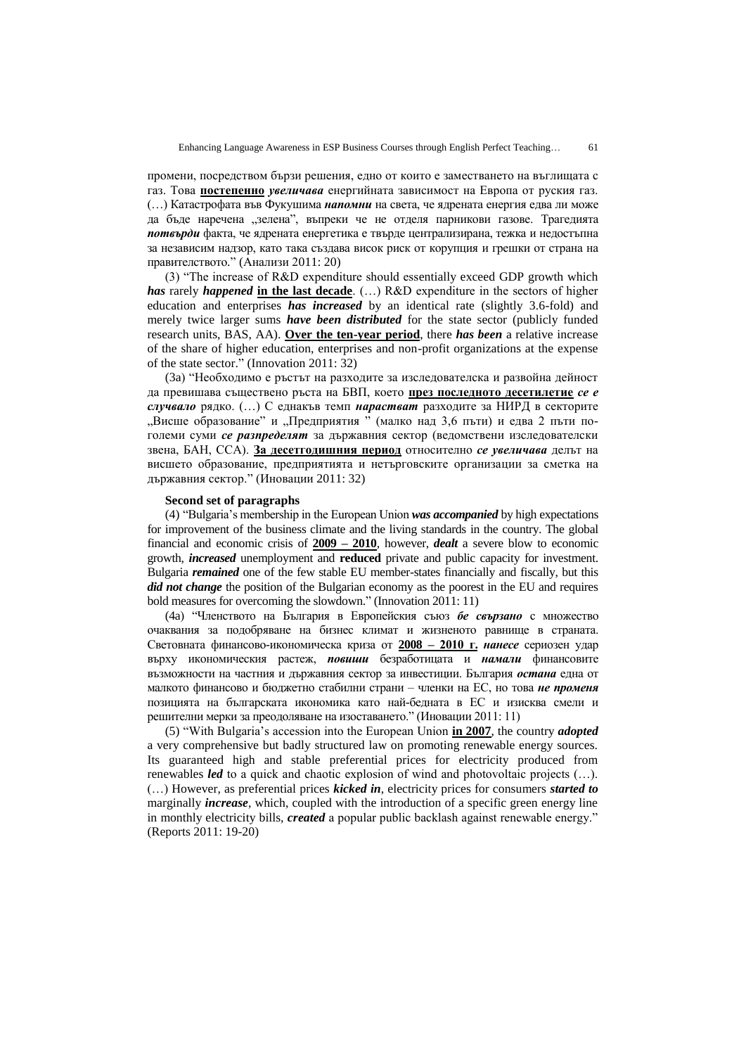промени, посредством бързи решения, едно от които е заместването на въглищата с газ. Това **постепенно** *увеличава* енергийната зависимост на Европа от руския газ. (…) Катастрофата във Фукушима *напомни* на света, че ядрената енергия едва ли може да бъде наречена "зелена", въпреки че не отделя парникови газове. Трагедията *потвърди* факта, че ядрената енергетика е твърде централизирана, тежка и недостъпна за независим надзор, като така създава висок риск от корупция и грешки от страна на правителството." (Анализи 2011: 20)

(3) "The increase of R&D expenditure should essentially exceed GDP growth which *has* rarely *happened* **in the last decade**. (…) R&D expenditure in the sectors of higher education and enterprises *has increased* by an identical rate (slightly 3.6-fold) and merely twice larger sums *have been distributed* for the state sector (publicly funded research units, BAS, AA). **Over the ten-year period**, there *has been* a relative increase of the share of higher education, enterprises and non-profit organizations at the expense of the state sector." (Innovation 2011: 32)

(3a) "Необходимо е ръстът на разходите за изследователска и развойна дейност да превишава съществено ръста на БВП, което **през последното десетилетие** *се е случвало* рядко. (…) С еднакъв темп *нарастват* разходите за НИРД в секторите "Висше образование" и "Предприятия " (малко над 3,6 пъти) и едва 2 пъти поголеми суми *се разпределят* за държавния сектор (ведомствени изследователски звена, БАН, ССА). **За десетгодишния период** относително *се увеличава* делът на висшето образование, предприятията и нетърговските организации за сметка на държавния сектор." (Иновации 2011: 32)

### **Second set of paragraphs**

(4) "Bulgaria"s membership in the European Union *was accompanied* by high expectations for improvement of the business climate and the living standards in the country. The global financial and economic crisis of **2009 – 2010**, however, *dealt* a severe blow to economic growth, *increased* unemployment and **reduced** private and public capacity for investment. Bulgaria *remained* one of the few stable EU member-states financially and fiscally, but this *did not change* the position of the Bulgarian economy as the poorest in the EU and requires bold measures for overcoming the slowdown." (Innovation 2011: 11)

(4a) "Членството на България в Европейския съюз *бе свързано* с множество очаквания за подобряване на бизнес климат и жизненото равнище в страната. Световната финансово-икономическа криза от **2008 – 2010 г.** *нанесе* сериозен удар върху икономическия растеж, *повиши* безработицата и *намали* финансовите възможности на частния и държавния сектор за инвестиции. България *остана* една от малкото финансово и бюджетно стабилни страни – членки на ЕС, но това *не променя* позицията на българската икономика като най-бедната в ЕС и изисква смели и решителни мерки за преодоляване на изоставането." (Иновации 2011: 11)

(5) "With Bulgaria"s accession into the European Union **in 2007**, the country *adopted* a very comprehensive but badly structured law on promoting renewable energy sources. Its guaranteed high and stable preferential prices for electricity produced from renewables *led* to a quick and chaotic explosion of wind and photovoltaic projects (…). (…) However, as preferential prices *kicked in*, electricity prices for consumers *started to* marginally *increase*, which, coupled with the introduction of a specific green energy line in monthly electricity bills, *created* a popular public backlash against renewable energy." (Reports 2011: 19-20)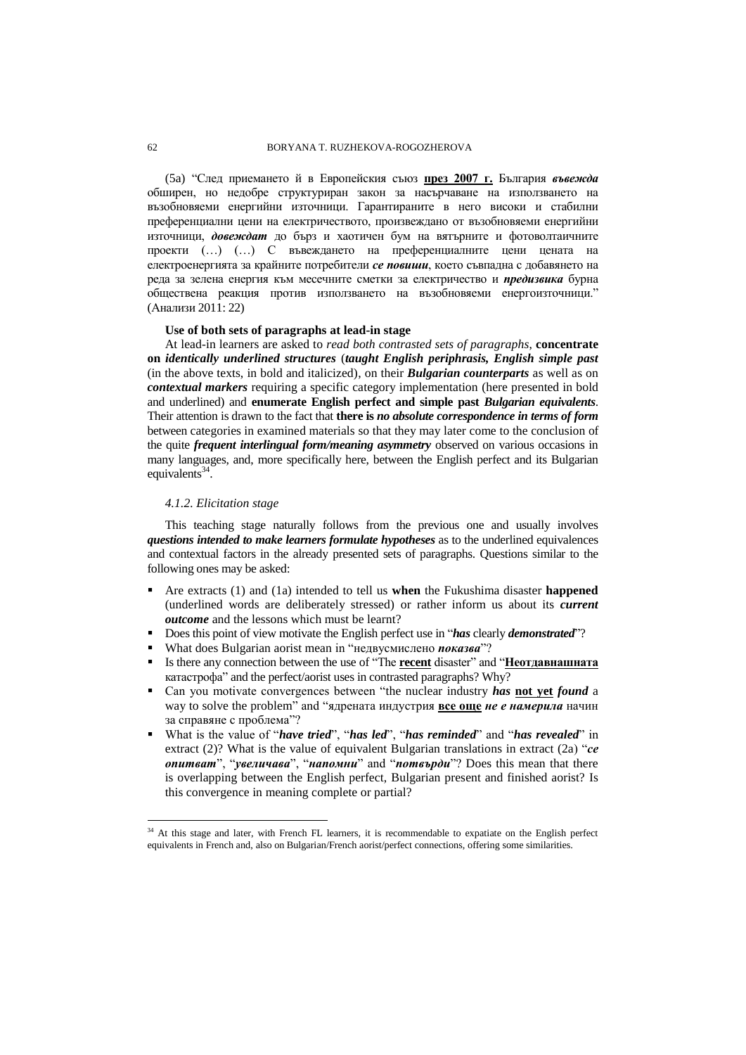### 62 BORYANA T. RUZHEKOVA-ROGOZHEROVA

(5a) "След приемането й в Европейския съюз **през 2007 г.** България *въвежда* обширен, но недобре структуриран закон за насърчаване на използването на възобновяеми енергийни източници. Гарантираните в него високи и стабилни преференциални цени на електричеството, произвеждано от възобновяеми енергийни източници, *довеждат* до бърз и хаотичен бум на вятърните и фотоволтаичните проекти (…) (…) С въвеждането на преференциалните цени цената на електроенергията за крайните потребители *се повиши*, което съвпадна с добавянето на реда за зелена енергия към месечните сметки за електричество и *предизвика* бурна обществена реакция против използването на възобновяеми енергоизточници." (Анализи 2011: 22)

### **Use of both sets of paragraphs at lead-in stage**

At lead-in learners are asked to *read both contrasted sets of paragraphs*, **concentrate on** *identically underlined structures* (*taught English periphrasis, English simple past* (in the above texts, in bold and italicized), on their *Bulgarian counterparts* as well as on *contextual markers* requiring a specific category implementation (here presented in bold and underlined) and **enumerate English perfect and simple past** *Bulgarian equivalents*. Their attention is drawn to the fact that **there is** *no absolute correspondence in terms of form* between categories in examined materials so that they may later come to the conclusion of the quite *frequent interlingual form/meaning asymmetry* observed on various occasions in many languages, and, more specifically here, between the English perfect and its Bulgarian equivalents<sup>34</sup>.

# *4.1.2. Elicitation stage*

 $\overline{a}$ 

This teaching stage naturally follows from the previous one and usually involves *questions intended to make learners formulate hypotheses* as to the underlined equivalences and contextual factors in the already presented sets of paragraphs. Questions similar to the following ones may be asked:

- Are extracts (1) and (1a) intended to tell us **when** the Fukushima disaster **happened**  (underlined words are deliberately stressed) or rather inform us about its *current outcome* and the lessons which must be learnt?
- Does this point of view motivate the English perfect use in "*has* clearly *demonstrated*"?
- What does Bulgarian aorist mean in "недвусмислено *показва*"?
- Is there any connection between the use of "The **recent** disaster" and "**Неотдавнашната** катастрофа" and the perfect/aorist uses in contrasted paragraphs? Why?
- Can you motivate convergences between "the nuclear industry *has* **not yet** *found* a way to solve the problem" and "ядрената индустрия **все още** *не е намерила* начин за справяне с проблема"?
- What is the value of "*have tried*", "*has led*", "*has reminded*" and "*has revealed*" in extract (2)? What is the value of equivalent Bulgarian translations in extract (2a) "*се опитват*", "*увеличава*", "*напомни*" and "*потвърди*"? Does this mean that there is overlapping between the English perfect, Bulgarian present and finished aorist? Is this convergence in meaning complete or partial?

<sup>&</sup>lt;sup>34</sup> At this stage and later, with French FL learners, it is recommendable to expatiate on the English perfect equivalents in French and, also on Bulgarian/French aorist/perfect connections, offering some similarities.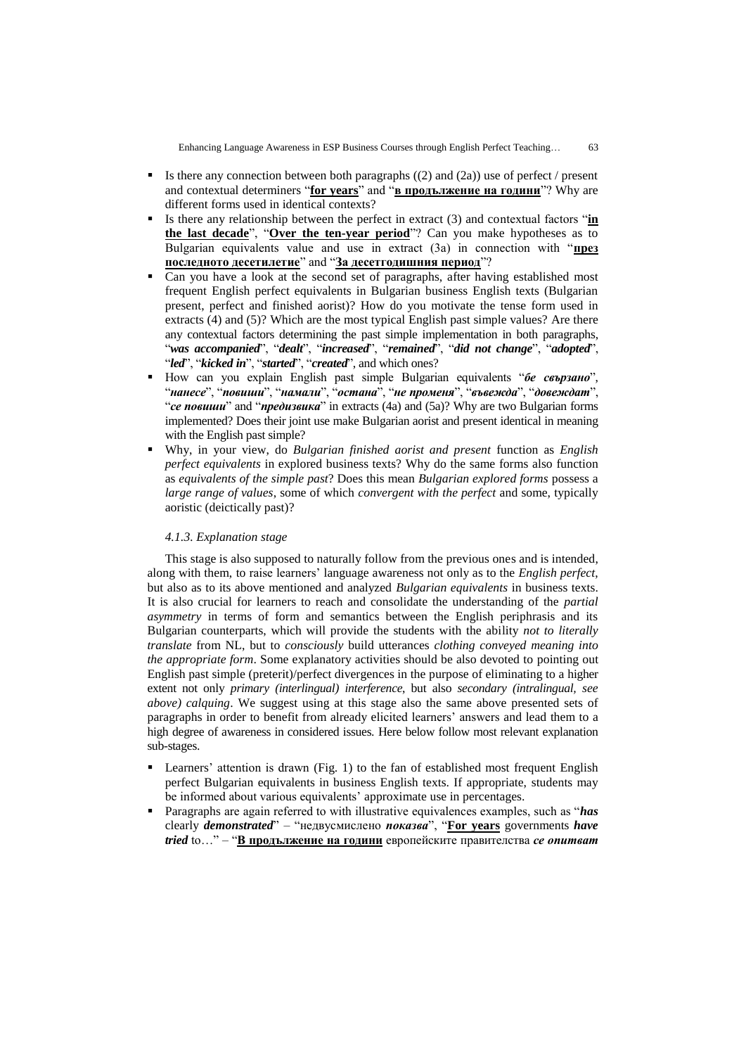- Is there any connection between both paragraphs  $((2)$  and  $((2)$ ) use of perfect / present and contextual determiners "**for years**" and "**в продължение на години**"? Why are different forms used in identical contexts?
- Is there any relationship between the perfect in extract (3) and contextual factors "**in the last decade**", "**Over the ten-year period**"? Can you make hypotheses as to Bulgarian equivalents value and use in extract (3a) in connection with "**през последното десетилетие**" and "**За десетгодишния период**"?
- Can you have a look at the second set of paragraphs, after having established most frequent English perfect equivalents in Bulgarian business English texts (Bulgarian present, perfect and finished aorist)? How do you motivate the tense form used in extracts (4) and (5)? Which are the most typical English past simple values? Are there any contextual factors determining the past simple implementation in both paragraphs, "*was accompanied*", "*dealt*", "*increased*", "*remained*", "*did not change*", "*adopted*", "*led*", "*kicked in*", "*started*", "*created*", and which ones?
- How can you explain English past simple Bulgarian equivalents "*бе свързано*", "*нанесе*", "*повиши*", "*намали*", "*остана*", "*не променя*", "*въвежда*", "*довеждат*", "*се повиши*" and "*предизвика*" in extracts (4a) and (5a)? Why are two Bulgarian forms implemented? Does their joint use make Bulgarian aorist and present identical in meaning with the English past simple?
- Why, in your view, do *Bulgarian finished aorist and present* function as *English perfect equivalents* in explored business texts? Why do the same forms also function as *equivalents of the simple past*? Does this mean *Bulgarian explored forms* possess a *large range of values*, some of which *convergent with the perfect* and some, typically aoristic (deictically past)?

#### *4.1.3. Explanation stage*

This stage is also supposed to naturally follow from the previous ones and is intended, along with them, to raise learners" language awareness not only as to the *English perfect*, but also as to its above mentioned and analyzed *Bulgarian equivalents* in business texts. It is also crucial for learners to reach and consolidate the understanding of the *partial asymmetry* in terms of form and semantics between the English periphrasis and its Bulgarian counterparts, which will provide the students with the ability *not to literally translate* from NL, but to *consciously* build utterances *clothing conveyed meaning into the appropriate form*. Some explanatory activities should be also devoted to pointing out English past simple (preterit)/perfect divergences in the purpose of eliminating to a higher extent not only *primary (interlingual) interference*, but also *secondary (intralingual, see above) calquing*. We suggest using at this stage also the same above presented sets of paragraphs in order to benefit from already elicited learners" answers and lead them to a high degree of awareness in considered issues. Here below follow most relevant explanation sub-stages.

- Learners' attention is drawn (Fig. 1) to the fan of established most frequent English perfect Bulgarian equivalents in business English texts. If appropriate, students may be informed about various equivalents' approximate use in percentages.
- Paragraphs are again referred to with illustrative equivalences examples, such as "*has*  clearly *demonstrated*" – "недвусмислено *показва*", "**For years** governments *have tried* to…" – "**В продължение на години** европейските правителства *се опитват*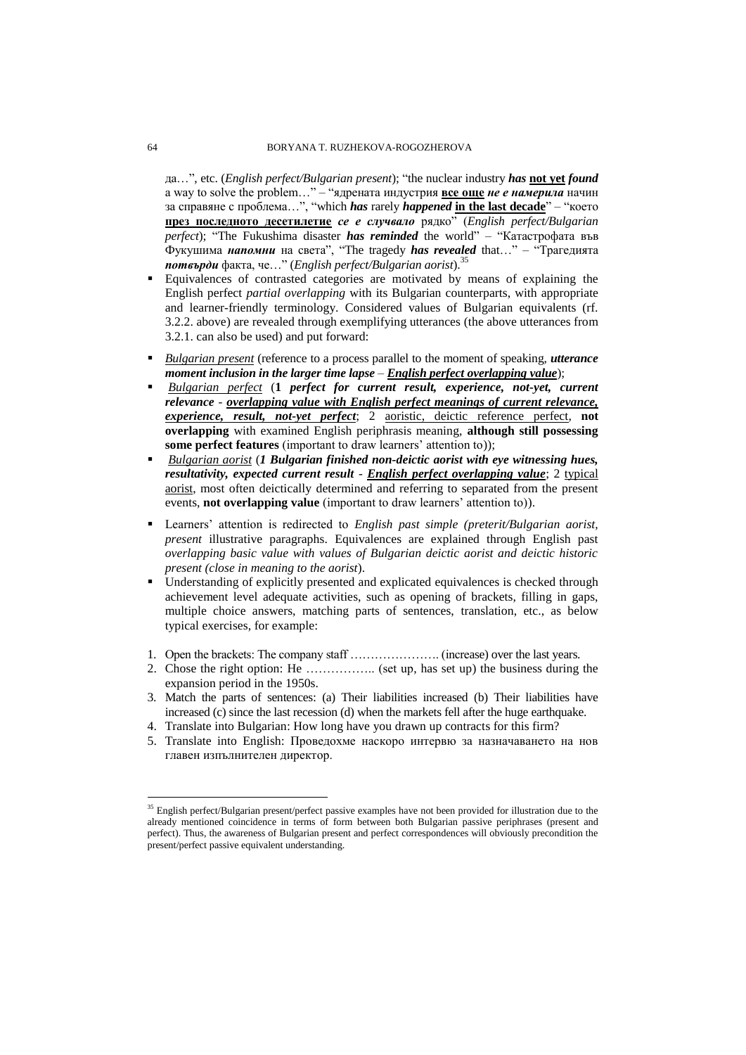да…", etc. (*English perfect/Bulgarian present*); "the nuclear industry *has* **not yet** *found* a way to solve the problem…" – "ядрената индустрия **все още** *не е намерила* начин за справяне с проблема…", "which *has* rarely *happened* **in the last decade**" – "което **през последното десетилетие** *се е случвало* рядко" (*English perfect/Bulgarian perfect*); "The Fukushima disaster *has reminded* the world" – "Катастрофата във Фукушима *напомни* на света", "The tragedy *has revealed* that…" – "Трагедията *потвърди* факта, че…" (*English perfect/Bulgarian aorist*). 35

- Equivalences of contrasted categories are motivated by means of explaining the English perfect *partial overlapping* with its Bulgarian counterparts, with appropriate and learner-friendly terminology. Considered values of Bulgarian equivalents (rf. 3.2.2. above) are revealed through exemplifying utterances (the above utterances from 3.2.1. can also be used) and put forward:
- *Bulgarian present* (reference to a process parallel to the moment of speaking, *utterance moment inclusion in the larger time lapse* – *English perfect overlapping value*);
- *Bulgarian perfect* (**1** *perfect for current result, experience, not-yet, current relevance* - *overlapping value with English perfect meanings of current relevance, experience, result, not-yet perfect*; 2 aoristic, deictic reference perfect, **not overlapping** with examined English periphrasis meaning, **although still possessing**  some perfect features (important to draw learners' attention to));
- *Bulgarian aorist* (*1 Bulgarian finished non-deictic aorist with eye witnessing hues, resultativity, expected current result* - *English perfect overlapping value*; 2 typical aorist, most often deictically determined and referring to separated from the present events, **not overlapping value** (important to draw learners' attention to)).
- Learners" attention is redirected to *English past simple (preterit/Bulgarian aorist, present* illustrative paragraphs. Equivalences are explained through English past *overlapping basic value with values of Bulgarian deictic aorist and deictic historic present (close in meaning to the aorist*).
- Understanding of explicitly presented and explicated equivalences is checked through achievement level adequate activities, such as opening of brackets, filling in gaps, multiple choice answers, matching parts of sentences, translation, etc., as below typical exercises, for example:
- 1. Open the brackets: The company staff …………………. (increase) over the last years.
- 2. Chose the right option: He …………….. (set up, has set up) the business during the expansion period in the 1950s.
- 3. Match the parts of sentences: (a) Their liabilities increased (b) Their liabilities have increased (c) since the last recession (d) when the markets fell after the huge earthquake.
- 4. Translate into Bulgarian: How long have you drawn up contracts for this firm?
- 5. Translate into English: Проведохме наскоро интервю за назначаването на нов главен изпълнителен директор.

<sup>&</sup>lt;sup>35</sup> English perfect/Bulgarian present/perfect passive examples have not been provided for illustration due to the already mentioned coincidence in terms of form between both Bulgarian passive periphrases (present and perfect). Thus, the awareness of Bulgarian present and perfect correspondences will obviously precondition the present/perfect passive equivalent understanding.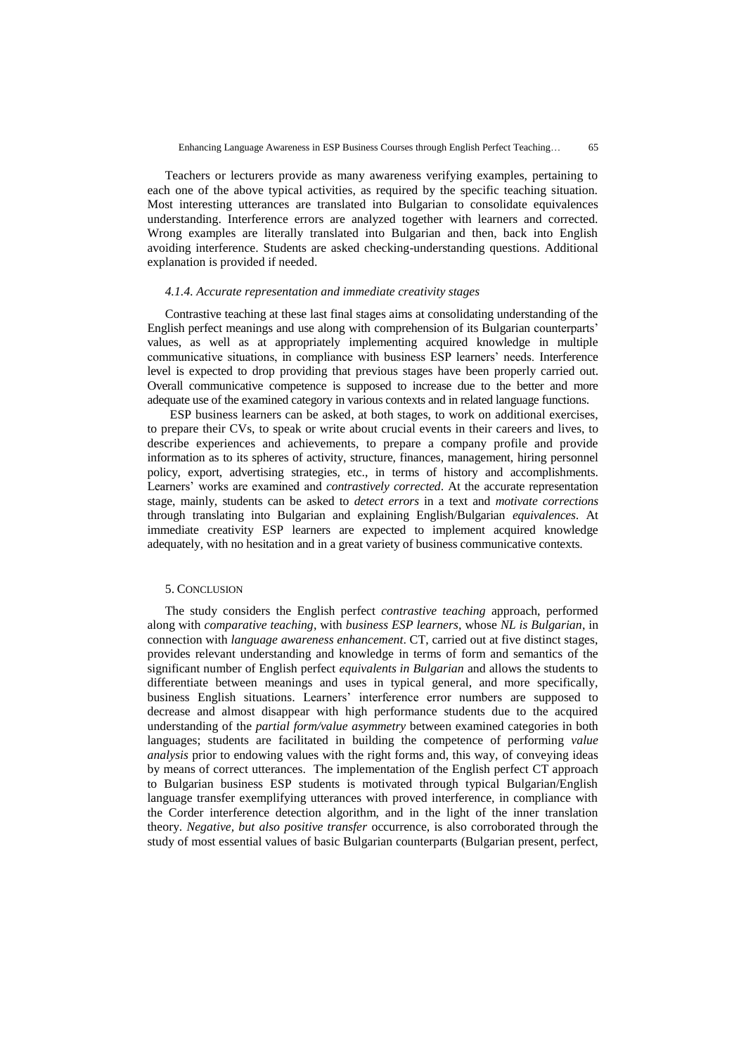Teachers or lecturers provide as many awareness verifying examples, pertaining to each one of the above typical activities, as required by the specific teaching situation. Most interesting utterances are translated into Bulgarian to consolidate equivalences understanding. Interference errors are analyzed together with learners and corrected. Wrong examples are literally translated into Bulgarian and then, back into English avoiding interference. Students are asked checking-understanding questions. Additional explanation is provided if needed.

#### *4.1.4. Accurate representation and immediate creativity stages*

Contrastive teaching at these last final stages aims at consolidating understanding of the English perfect meanings and use along with comprehension of its Bulgarian counterparts" values, as well as at appropriately implementing acquired knowledge in multiple communicative situations, in compliance with business ESP learners' needs. Interference level is expected to drop providing that previous stages have been properly carried out. Overall communicative competence is supposed to increase due to the better and more adequate use of the examined category in various contexts and in related language functions.

ESP business learners can be asked, at both stages, to work on additional exercises, to prepare their CVs, to speak or write about crucial events in their careers and lives, to describe experiences and achievements, to prepare a company profile and provide information as to its spheres of activity, structure, finances, management, hiring personnel policy, export, advertising strategies, etc., in terms of history and accomplishments. Learners" works are examined and *contrastively corrected*. At the accurate representation stage, mainly, students can be asked to *detect errors* in a text and *motivate corrections* through translating into Bulgarian and explaining English/Bulgarian *equivalences*. At immediate creativity ESP learners are expected to implement acquired knowledge adequately, with no hesitation and in a great variety of business communicative contexts.

### 5. CONCLUSION

The study considers the English perfect *contrastive teaching* approach, performed along with *comparative teaching*, with *business ESP learners,* whose *NL is Bulgarian*, in connection with *language awareness enhancement*. CT, carried out at five distinct stages, provides relevant understanding and knowledge in terms of form and semantics of the significant number of English perfect *equivalents in Bulgarian* and allows the students to differentiate between meanings and uses in typical general, and more specifically, business English situations. Learners' interference error numbers are supposed to decrease and almost disappear with high performance students due to the acquired understanding of the *partial form/value asymmetry* between examined categories in both languages; students are facilitated in building the competence of performing *value analysis* prior to endowing values with the right forms and, this way, of conveying ideas by means of correct utterances. The implementation of the English perfect CT approach to Bulgarian business ESP students is motivated through typical Bulgarian/English language transfer exemplifying utterances with proved interference, in compliance with the Corder interference detection algorithm, and in the light of the inner translation theory. *Negative, but also positive transfer* occurrence, is also corroborated through the study of most essential values of basic Bulgarian counterparts (Bulgarian present, perfect,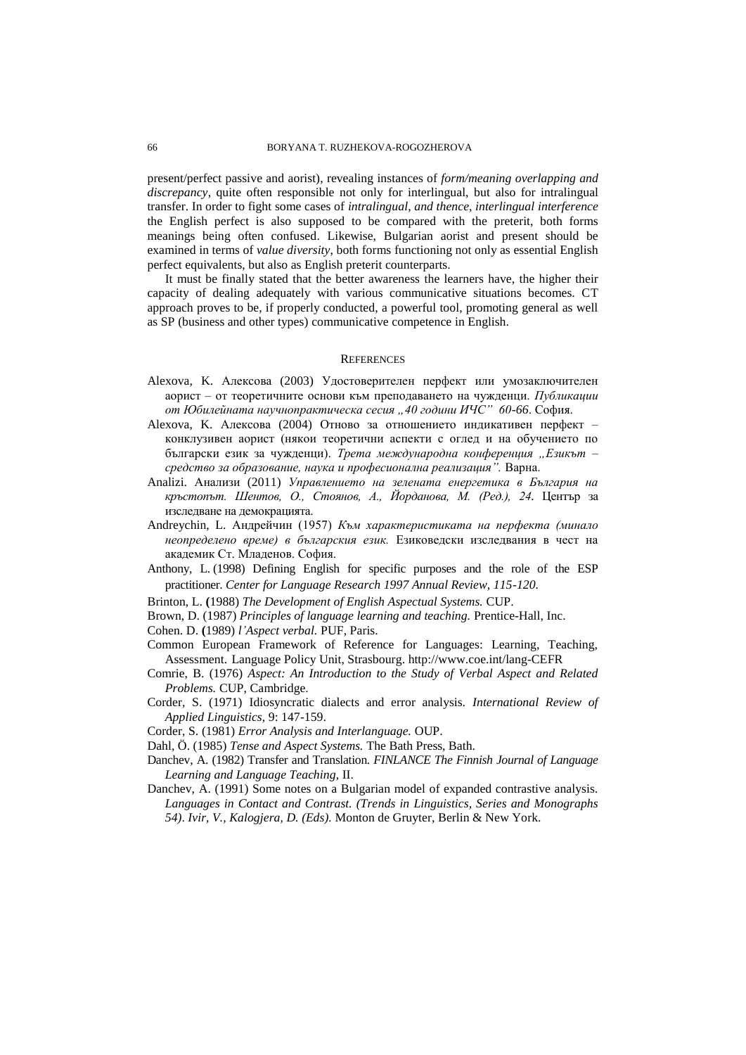present/perfect passive and aorist), revealing instances of *form/meaning overlapping and discrepancy*, quite often responsible not only for interlingual, but also for intralingual transfer. In order to fight some cases of *intralingual, and thence, interlingual interference* the English perfect is also supposed to be compared with the preterit, both forms meanings being often confused. Likewise, Bulgarian aorist and present should be examined in terms of *value diversity*, both forms functioning not only as essential English perfect equivalents, but also as English preterit counterparts.

It must be finally stated that the better awareness the learners have, the higher their capacity of dealing adequately with various communicative situations becomes. CT approach proves to be, if properly conducted, a powerful tool, promoting general as well as SP (business and other types) communicative competence in English.

### **REFERENCES**

- Alexova, K. Алексова (2003) Удостоверителен перфект или умозаключителен аорист – от теоретичните основи към преподаването на чужденци. *Публикации от Юбилейната научнопрактическа сесия "40 години ИЧС" 60-66*. София.
- Alexova, K. Алексова (2004) Отново за отношението индикативен перфект конклузивен аорист (някои теоретични аспекти с оглед и на обучението по български език за чужденци). *Трета международна конференция "Езикът – средство за образование, наука и професионална реализация".* Варна.
- Analizi. Анализи (2011) *Управлението на зелената енергетика в България на кръстопът. Шентов, О., Стоянов, А., Йорданова, М. (Ред.), 24.* Център за изследване на демокрацията.
- Andreychin, L. Андрейчин (1957) *Към характеристиката на перфекта (минало неопределено време) в българския език.* Езиковедски изследвания в чест на академик Ст. Младенов. София.
- Anthony, L. (1998) Defining English for specific purposes and the role of the ESP practitioner. *Center for Language Research 1997 Annual Review, 115-120.*
- Brinton, L. **(**1988) *The Development of English Aspectual Systems.* CUP.
- Brown, D. (1987) *Principles of language learning and teaching.* Prentice-Hall, Inc.
- Cohen. D. **(**1989) *l'Aspect verbal.* PUF, Paris.
- Common European Framework of Reference for Languages: Learning, Teaching, Assessment. Language Policy Unit, Strasbourg. http://www.coe.int/lang-CEFR
- Comrie, B. (1976) *Aspect: An Introduction to the Study of Verbal Aspect and Related Problems.* CUP, Cambridge.
- Corder, S. (1971) Idiosyncratic dialects and error analysis. *International Review of Applied Linguistics*, 9: 147-159.

Corder, S. (1981) *Error Analysis and Interlanguage.* OUP.

- Dahl, Ö. (1985) *Tense and Aspect Systems.* The Bath Press, Bath.
- Danchev, A. (1982) Transfer and Translation. *FINLANCE The Finnish Journal of Language Learning and Language Teaching*, II.
- Danchev, A. (1991) Some notes on a Bulgarian model of expanded contrastive analysis. *Languages in Contact and Contrast. (Trends in Linguistics, Series and Monographs 54)*. *Ivir, V., Kalogjera, D. (Eds).* Monton de Gruyter, Berlin & New York.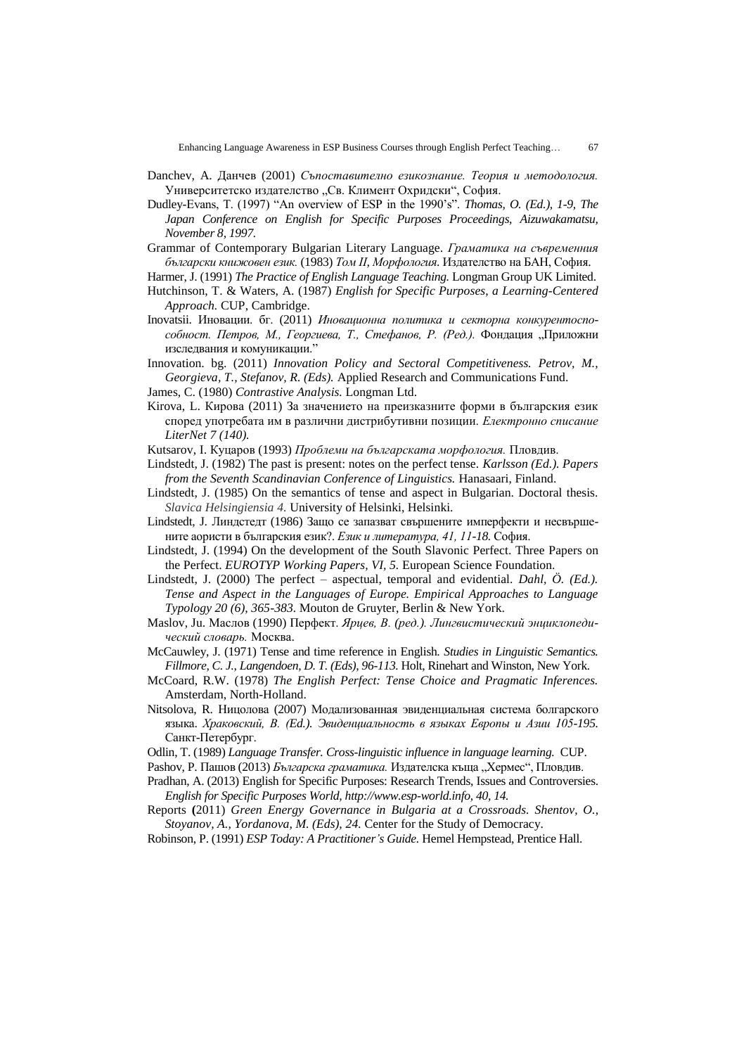- Danchev, A. Данчев (2001) *Съпоставително езикознание. Теория и методология.* Университетско издателство "Св. Климент Охридски", София.
- Dudley-Evans, T. (1997) "An overview of ESP in the 1990"s". *Thomas, O. (Ed.), 1-9, The Japan Conference on English for Specific Purposes Proceedings, Aizuwakamatsu, November 8, 1997.*
- Grammar of Contemporary Bulgarian Literary Language. *Граматика на съвременния български книжовен език.* (1983) *Том ІІ, Морфология*. Издателство на БАН, София.
- Harmer, J. (1991) *The Practice of English Language Teaching.* Longman Group UK Limited. Hutchinson, T. & Waters, A. (1987) *English for Specific Purposes, a Learning-Centered Approach.* CUP, Cambridge.
- Inovatsii. Иновации. бг. (2011) *Иновационна политика и секторна конкурентоспособност. Петров, М., Георгиева, Т., Стефанов, Р. (Ред.).* Фондация "Приложни изследвания и комуникации."
- Innovation. bg. (2011) *Innovation Policy and Sectoral Competitiveness. Petrov, M., Georgieva, T., Stefanov, R. (Eds).* Applied Research and Communications Fund.
- James, C. (1980) *Contrastive Analysis.* Longman Ltd.
- Kirova, L. Кирова (2011) За значението на преизказните форми в българския език според употребата им в различни дистрибутивни позиции. *Електронно списание LiterNet 7 (140).*
- Kutsarov, I. Куцаров (1993) *Проблеми на българската морфология.* Пловдив.
- Lindstedt, J. (1982) The past is present: notes on the perfect tense. *Karlsson (Ed.). Papers from the Seventh Scandinavian Conference of Linguistics.* Hanasaari, Finland.
- Lindstedt, J. (1985) On the semantics of tense and aspect in Bulgarian. Doctoral thesis. *Slavica Helsingiensia 4.* University of Helsinki, Helsinki.
- Lindstedt, J. Линдстедт (1986) Защо се запазват свършените имперфекти и несвършените аористи в българския език?. *Език и литература, 41, 11-18.* София.
- Lindstedt, J. (1994) On the development of the South Slavonic Perfect. Three Papers on the Perfect. *EUROTYP Working Papers, VI, 5.* European Science Foundation.
- Lindstedt, J. (2000) The perfect aspectual, temporal and evidential. *Dahl, Ö. (Ed.). Tense and Aspect in the Languages of Europe. Empirical Approaches to Language Typology 20 (6), 365-383.* Mouton de Gruyter, Berlin & New York.
- Maslov, Ju. Маслов (1990) Перфект. *Ярцев, В. (ред.). Лингвистический энциклопедический словарь.* Москва.
- McCauwley, J. (1971) Tense and time reference in English. *Studies in Linguistic Semantics. Fillmore, C. J., Langendoen, D. T. (Eds), 96-113.* Holt, Rinehart and Winston, New York.
- McCoard, R.W. (1978) *The English Perfect: Tense Choice and Pragmatic Inferences.* Amsterdam, North-Holland.
- Nitsolova, R. Ницолова (2007) Модализованная эвиденциальная система болгарского языка. *Храковский, В. (Ed.). Эвиденциальность в языках Европы и Азии 105-195.* Санкт-Петербург.
- Odlin, T. (1989) *Language Transfer. Cross-linguistic influence in language learning.* CUP.
- Pashov, Р. Пашов (2013) *Българска граматика*. Издателска къща "Хермес", Пловдив.
- Pradhan, A. (2013) English for Specific Purposes: Research Trends, Issues and Controversies. *English for Specific Purposes World[, http://www.esp-world.info,](http://www.esp-world.info/) 40, 14.*
- Reports **(**2011) *Green Energy Governance in Bulgaria at a Crossroads. Shentov, O., Stoyanov, A., Yordanova, M. (Eds), 24.* Center for the Study of Democracy.
- Robinson, P. (1991) *ESP Today: A Practitioner's Guide.* Hemel Hempstead, Prentice Hall.